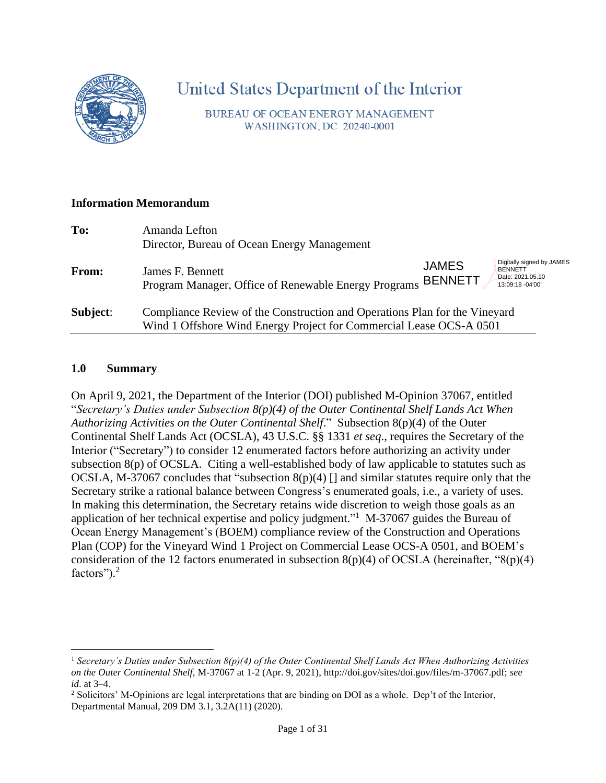

# United States Department of the Interior

BUREAU OF OCEAN ENERGY MANAGEMENT WASHINGTON, DC 20240-0001

#### **Information Memorandum**

| To:      | Amanda Lefton<br>Director, Bureau of Ocean Energy Management                                                                                      |                                |                                                                                     |
|----------|---------------------------------------------------------------------------------------------------------------------------------------------------|--------------------------------|-------------------------------------------------------------------------------------|
| From:    | James F. Bennett<br>Program Manager, Office of Renewable Energy Programs                                                                          | <b>JAMES</b><br><b>BENNETT</b> | Digitally signed by JAMES<br><b>BENNETT</b><br>Date: 2021.05.10<br>13:09:18 -04'00' |
| Subject: | Compliance Review of the Construction and Operations Plan for the Vineyard<br>Wind 1 Offshore Wind Energy Project for Commercial Lease OCS-A 0501 |                                |                                                                                     |

#### **1.0 Summary**

On April 9, 2021, the Department of the Interior (DOI) published M-Opinion 37067, entitled "*Secretary's Duties under Subsection 8(p)(4) of the Outer Continental Shelf Lands Act When Authorizing Activities on the Outer Continental Shelf*." Subsection 8(p)(4) of the Outer Continental Shelf Lands Act (OCSLA), 43 U.S.C. §§ 1331 *et seq*., requires the Secretary of the Interior ("Secretary") to consider 12 enumerated factors before authorizing an activity under subsection 8(p) of OCSLA. Citing a well-established body of law applicable to statutes such as OCSLA, M-37067 concludes that "subsection  $8(p)(4)$  [] and similar statutes require only that the Secretary strike a rational balance between Congress's enumerated goals, i.e., a variety of uses. In making this determination, the Secretary retains wide discretion to weigh those goals as an application of her technical expertise and policy judgment."<sup>1</sup> M-37067 guides the Bureau of Ocean Energy Management's (BOEM) compliance review of the Construction and Operations Plan (COP) for the Vineyard Wind 1 Project on Commercial Lease OCS-A 0501, and BOEM's consideration of the 12 factors enumerated in subsection  $8(p)(4)$  of OCSLA (hereinafter, " $8(p)(4)$ ) factors").<sup>2</sup>

<sup>1</sup> *Secretary's Duties under Subsection 8(p)(4) of the Outer Continental Shelf Lands Act When Authorizing Activities on the Outer Continental Shelf*, M-37067 at 1-2 (Apr. 9, 2021), http://doi.gov/sites/doi.gov/files/m-37067.pdf; *see id*. at 3–4.

<sup>2</sup> Solicitors' M-Opinions are legal interpretations that are binding on DOI as a whole. Dep't of the Interior, Departmental Manual, 209 DM 3.1, 3.2A(11) (2020).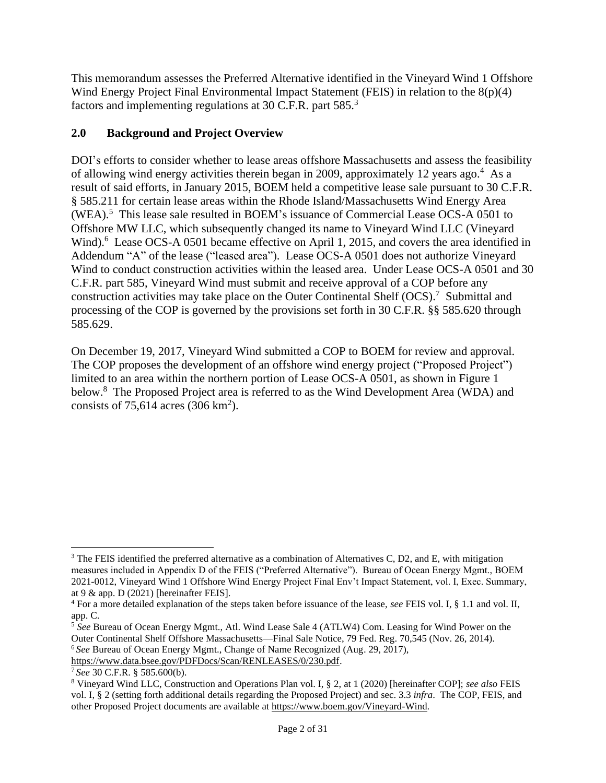This memorandum assesses the Preferred Alternative identified in the Vineyard Wind 1 Offshore Wind Energy Project Final Environmental Impact Statement (FEIS) in relation to the 8(p)(4) factors and implementing regulations at 30 C.F.R. part 585.<sup>3</sup>

## **2.0 Background and Project Overview**

DOI's efforts to consider whether to lease areas offshore Massachusetts and assess the feasibility of allowing wind energy activities therein began in 2009, approximately 12 years ago. <sup>4</sup> As a result of said efforts, in January 2015, BOEM held a competitive lease sale pursuant to 30 C.F.R. § 585.211 for certain lease areas within the Rhode Island/Massachusetts Wind Energy Area (WEA). <sup>5</sup> This lease sale resulted in BOEM's issuance of Commercial Lease OCS-A 0501 to Offshore MW LLC, which subsequently changed its name to Vineyard Wind LLC (Vineyard Wind).<sup>6</sup> Lease OCS-A 0501 became effective on April 1, 2015, and covers the area identified in Addendum "A" of the lease ("leased area"). Lease OCS-A 0501 does not authorize Vineyard Wind to conduct construction activities within the leased area. Under Lease OCS-A 0501 and 30 C.F.R. part 585, Vineyard Wind must submit and receive approval of a COP before any construction activities may take place on the Outer Continental Shelf (OCS). 7 Submittal and processing of the COP is governed by the provisions set forth in 30 C.F.R. §§ 585.620 through 585.629.

On December 19, 2017, Vineyard Wind submitted a COP to BOEM for review and approval. The COP proposes the development of an offshore wind energy project ("Proposed Project") limited to an area within the northern portion of Lease OCS-A 0501, as shown in Figure 1 below.<sup>8</sup> The Proposed Project area is referred to as the Wind Development Area (WDA) and consists of  $75,614$  acres (306 km<sup>2</sup>).

<sup>&</sup>lt;sup>3</sup> The FEIS identified the preferred alternative as a combination of Alternatives C, D2, and E, with mitigation measures included in Appendix D of the FEIS ("Preferred Alternative"). Bureau of Ocean Energy Mgmt., BOEM 2021-0012, Vineyard Wind 1 Offshore Wind Energy Project Final Env't Impact Statement, vol. I, Exec. Summary, at 9 & app. D (2021) [hereinafter FEIS].

<sup>4</sup> For a more detailed explanation of the steps taken before issuance of the lease, *see* FEIS vol. I, § 1.1 and vol. II, app. C.

<sup>&</sup>lt;sup>5</sup> See Bureau of Ocean Energy Mgmt., Atl. Wind Lease Sale 4 (ATLW4) Com. Leasing for Wind Power on the Outer Continental Shelf Offshore Massachusetts—Final Sale Notice, 79 Fed. Reg. 70,545 (Nov. 26, 2014).

<sup>6</sup> *See* Bureau of Ocean Energy Mgmt., Change of Name Recognized (Aug. 29, 2017),

[https://www.data.bsee.gov/PDFDocs/Scan/RENLEASES/0/230.pdf.](https://www.data.bsee.gov/PDFDocs/Scan/RENLEASES/0/230.pdf)

<sup>7</sup> *See* 30 C.F.R. § 585.600(b).

<sup>8</sup> Vineyard Wind LLC, Construction and Operations Plan vol. I, § 2, at 1 (2020) [hereinafter COP]; *see also* FEIS vol. I, § 2 (setting forth additional details regarding the Proposed Project) and sec. 3.3 *infra*. The COP, FEIS, and other Proposed Project documents are available at [https://www.boem.gov/Vineyard-Wind.](https://www.boem.gov/Vineyard-Wind)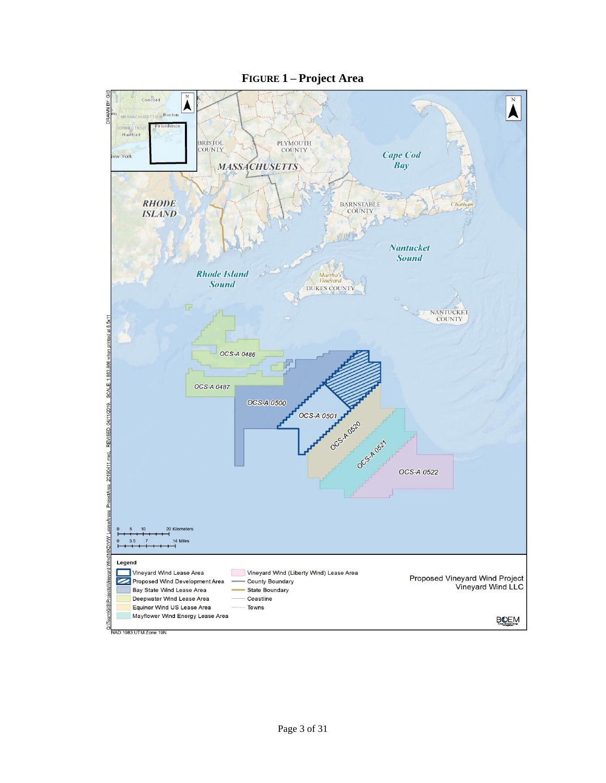

**FIGURE 1 – Project Area**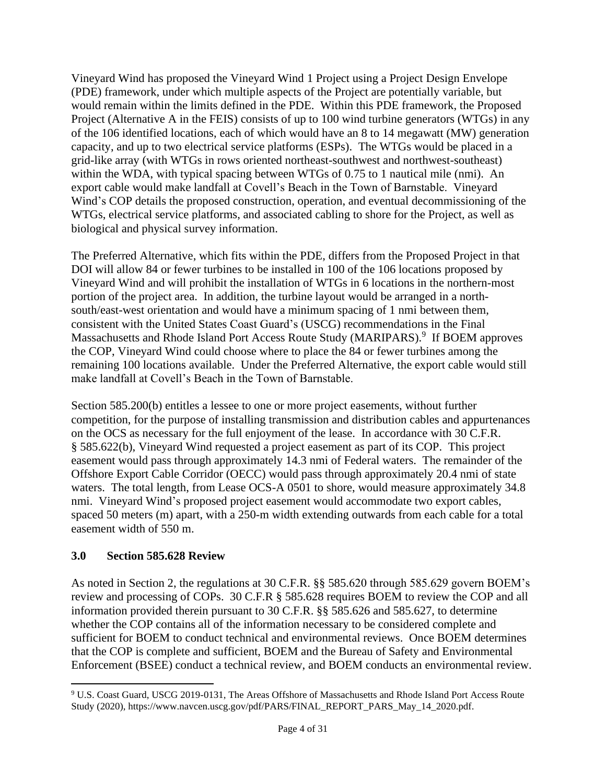Vineyard Wind has proposed the Vineyard Wind 1 Project using a Project Design Envelope (PDE) framework, under which multiple aspects of the Project are potentially variable, but would remain within the limits defined in the PDE. Within this PDE framework, the Proposed Project (Alternative A in the FEIS) consists of up to 100 wind turbine generators (WTGs) in any of the 106 identified locations, each of which would have an 8 to 14 megawatt (MW) generation capacity, and up to two electrical service platforms (ESPs). The WTGs would be placed in a grid-like array (with WTGs in rows oriented northeast-southwest and northwest-southeast) within the WDA, with typical spacing between WTGs of 0.75 to 1 nautical mile (nmi). An export cable would make landfall at Covell's Beach in the Town of Barnstable. Vineyard Wind's COP details the proposed construction, operation, and eventual decommissioning of the WTGs, electrical service platforms, and associated cabling to shore for the Project, as well as biological and physical survey information.

The Preferred Alternative, which fits within the PDE, differs from the Proposed Project in that DOI will allow 84 or fewer turbines to be installed in 100 of the 106 locations proposed by Vineyard Wind and will prohibit the installation of WTGs in 6 locations in the northern-most portion of the project area. In addition, the turbine layout would be arranged in a northsouth/east-west orientation and would have a minimum spacing of 1 nmi between them, consistent with the United States Coast Guard's (USCG) recommendations in the Final Massachusetts and Rhode Island Port Access Route Study (MARIPARS).<sup>9</sup> If BOEM approves the COP, Vineyard Wind could choose where to place the 84 or fewer turbines among the remaining 100 locations available. Under the Preferred Alternative, the export cable would still make landfall at Covell's Beach in the Town of Barnstable.

Section 585.200(b) entitles a lessee to one or more project easements, without further competition, for the purpose of installing transmission and distribution cables and appurtenances on the OCS as necessary for the full enjoyment of the lease. In accordance with 30 C.F.R. § 585.622(b), Vineyard Wind requested a project easement as part of its COP. This project easement would pass through approximately 14.3 nmi of Federal waters. The remainder of the Offshore Export Cable Corridor (OECC) would pass through approximately 20.4 nmi of state waters. The total length, from Lease OCS-A 0501 to shore, would measure approximately 34.8 nmi. Vineyard Wind's proposed project easement would accommodate two export cables, spaced 50 meters (m) apart, with a 250-m width extending outwards from each cable for a total easement width of 550 m.

#### **3.0 Section 585.628 Review**

As noted in Section 2, the regulations at 30 C.F.R. §§ 585.620 through 585.629 govern BOEM's review and processing of COPs. 30 C.F.R § 585.628 requires BOEM to review the COP and all information provided therein pursuant to 30 C.F.R. §§ 585.626 and 585.627, to determine whether the COP contains all of the information necessary to be considered complete and sufficient for BOEM to conduct technical and environmental reviews. Once BOEM determines that the COP is complete and sufficient, BOEM and the Bureau of Safety and Environmental Enforcement (BSEE) conduct a technical review, and BOEM conducts an environmental review.

<sup>9</sup> U.S. Coast Guard, USCG 2019-0131, The Areas Offshore of Massachusetts and Rhode Island Port Access Route Study (2020), https://www.navcen.uscg.gov/pdf/PARS/FINAL\_REPORT\_PARS\_May\_14\_2020.pdf.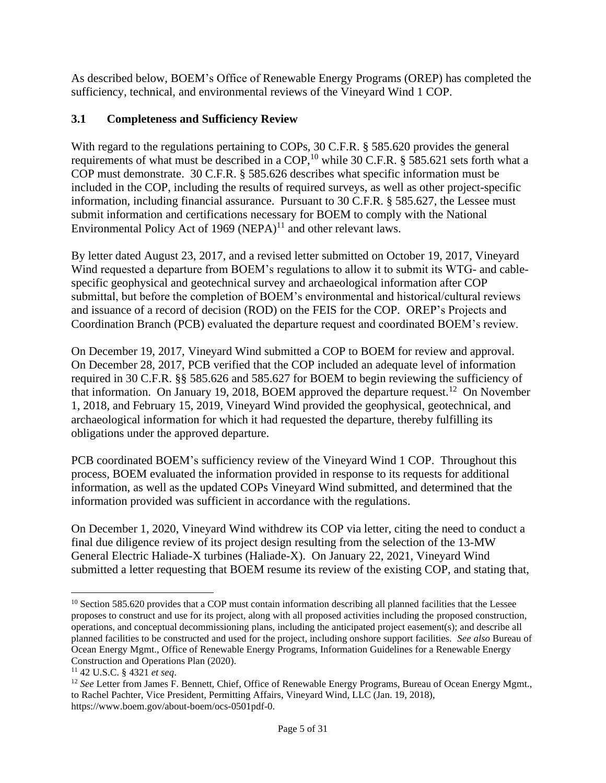As described below, BOEM's Office of Renewable Energy Programs (OREP) has completed the sufficiency, technical, and environmental reviews of the Vineyard Wind 1 COP.

## **3.1 Completeness and Sufficiency Review**

With regard to the regulations pertaining to COPs, 30 C.F.R. § 585.620 provides the general requirements of what must be described in a COP,<sup>10</sup> while 30 C.F.R. § 585.621 sets forth what a COP must demonstrate. 30 C.F.R. § 585.626 describes what specific information must be included in the COP, including the results of required surveys, as well as other project-specific information, including financial assurance. Pursuant to 30 C.F.R. § 585.627, the Lessee must submit information and certifications necessary for BOEM to comply with the National Environmental Policy Act of 1969  $(NEPA)^{11}$  and other relevant laws.

By letter dated August 23, 2017, and a revised letter submitted on October 19, 2017, Vineyard Wind requested a departure from BOEM's regulations to allow it to submit its WTG- and cablespecific geophysical and geotechnical survey and archaeological information after COP submittal, but before the completion of BOEM's environmental and historical/cultural reviews and issuance of a record of decision (ROD) on the FEIS for the COP. OREP's Projects and Coordination Branch (PCB) evaluated the departure request and coordinated BOEM's review.

On December 19, 2017, Vineyard Wind submitted a COP to BOEM for review and approval. On December 28, 2017, PCB verified that the COP included an adequate level of information required in 30 C.F.R. §§ 585.626 and 585.627 for BOEM to begin reviewing the sufficiency of that information. On January 19, 2018, BOEM approved the departure request.<sup>12</sup> On November 1, 2018, and February 15, 2019, Vineyard Wind provided the geophysical, geotechnical, and archaeological information for which it had requested the departure, thereby fulfilling its obligations under the approved departure.

PCB coordinated BOEM's sufficiency review of the Vineyard Wind 1 COP. Throughout this process, BOEM evaluated the information provided in response to its requests for additional information, as well as the updated COPs Vineyard Wind submitted, and determined that the information provided was sufficient in accordance with the regulations.

On December 1, 2020, Vineyard Wind withdrew its COP via letter, citing the need to conduct a final due diligence review of its project design resulting from the selection of the 13-MW General Electric Haliade-X turbines (Haliade-X). On January 22, 2021, Vineyard Wind submitted a letter requesting that BOEM resume its review of the existing COP, and stating that,

 $10$  Section 585.620 provides that a COP must contain information describing all planned facilities that the Lessee proposes to construct and use for its project, along with all proposed activities including the proposed construction, operations, and conceptual decommissioning plans, including the anticipated project easement(s); and describe all planned facilities to be constructed and used for the project, including onshore support facilities. *See also* Bureau of Ocean Energy Mgmt., Office of Renewable Energy Programs, Information Guidelines for a Renewable Energy Construction and Operations Plan (2020).

<sup>11</sup> 42 U.S.C. § 4321 *et seq*.

<sup>&</sup>lt;sup>12</sup> See Letter from James F. Bennett, Chief, Office of Renewable Energy Programs, Bureau of Ocean Energy Mgmt., to Rachel Pachter, Vice President, Permitting Affairs, Vineyard Wind, LLC (Jan. 19, 2018), https://www.boem.gov/about-boem/ocs-0501pdf-0.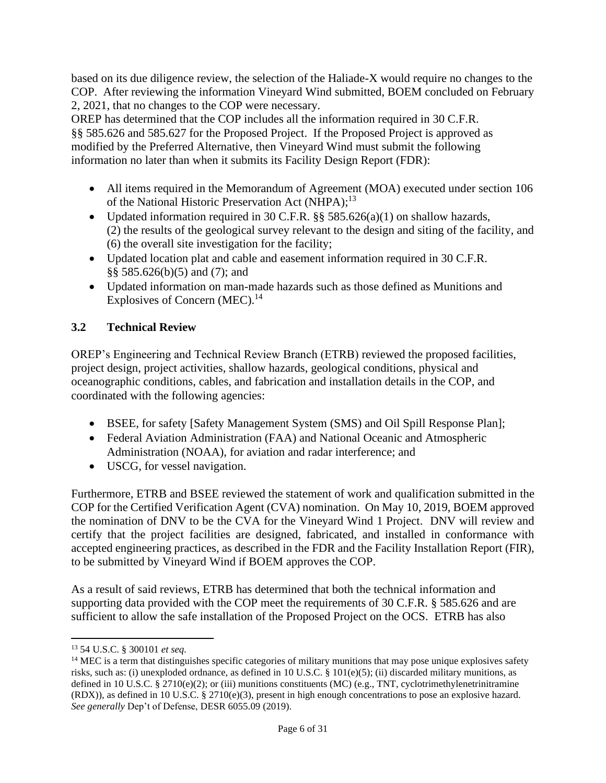based on its due diligence review, the selection of the Haliade-X would require no changes to the COP. After reviewing the information Vineyard Wind submitted, BOEM concluded on February 2, 2021, that no changes to the COP were necessary.

OREP has determined that the COP includes all the information required in 30 C.F.R. §§ 585.626 and 585.627 for the Proposed Project. If the Proposed Project is approved as modified by the Preferred Alternative, then Vineyard Wind must submit the following information no later than when it submits its Facility Design Report (FDR):

- All items required in the Memorandum of Agreement (MOA) executed under section 106 of the National Historic Preservation Act (NHPA);<sup>13</sup>
- Updated information required in 30 C.F.R.  $\S$ § 585.626(a)(1) on shallow hazards, (2) the results of the geological survey relevant to the design and siting of the facility, and (6) the overall site investigation for the facility;
- Updated location plat and cable and easement information required in 30 C.F.R. §§ 585.626(b)(5) and (7); and
- Updated information on man-made hazards such as those defined as Munitions and Explosives of Concern (MEC).<sup>14</sup>

# **3.2 Technical Review**

OREP's Engineering and Technical Review Branch (ETRB) reviewed the proposed facilities, project design, project activities, shallow hazards, geological conditions, physical and oceanographic conditions, cables, and fabrication and installation details in the COP, and coordinated with the following agencies:

- BSEE, for safety [Safety Management System (SMS) and Oil Spill Response Plan];
- Federal Aviation Administration (FAA) and National Oceanic and Atmospheric Administration (NOAA), for aviation and radar interference; and
- USCG, for vessel navigation.

Furthermore, ETRB and BSEE reviewed the statement of work and qualification submitted in the COP for the Certified Verification Agent (CVA) nomination. On May 10, 2019, BOEM approved the nomination of DNV to be the CVA for the Vineyard Wind 1 Project. DNV will review and certify that the project facilities are designed, fabricated, and installed in conformance with accepted engineering practices, as described in the FDR and the Facility Installation Report (FIR), to be submitted by Vineyard Wind if BOEM approves the COP.

As a result of said reviews, ETRB has determined that both the technical information and supporting data provided with the COP meet the requirements of 30 C.F.R. § 585.626 and are sufficient to allow the safe installation of the Proposed Project on the OCS. ETRB has also

<sup>13</sup> 54 U.S.C. § 300101 *et seq.*

<sup>&</sup>lt;sup>14</sup> MEC is a term that distinguishes specific categories of military munitions that may pose unique explosives safety risks, such as: (i) unexploded ordnance, as defined in [10 U.S.C. §](https://www.law.cornell.edu/uscode/text/10/101#e_5) 101(e)(5); (ii) discarded military munitions, as defined in [10 U.S.C. §](https://www.law.cornell.edu/uscode/text/10/2710#e_2) 2710(e)(2); or (iii) munitions constituents (MC) (e.g., TNT, cyclotrimethylenetrinitramine (RDX)), as defined i[n 10 U.S.C. §](https://www.law.cornell.edu/uscode/text/10/2710#e_3) 2710(e)(3), present in high enough concentrations to pose an explosive hazard. *See generally* Dep't of Defense, [DESR 6055.09](https://www.denix.osd.mil/ddes/home/home-documents/desr-6055-09-edition-1/DESR%206055.09%20Edition1.pdf) (2019).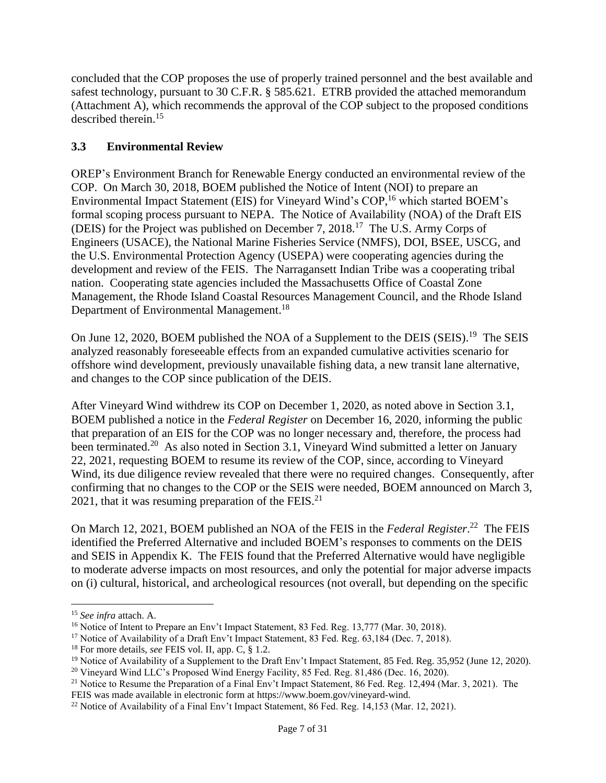concluded that the COP proposes the use of properly trained personnel and the best available and safest technology, pursuant to 30 C.F.R. § 585.621. ETRB provided the attached memorandum (Attachment A), which recommends the approval of the COP subject to the proposed conditions described therein. 15

## **3.3 Environmental Review**

OREP's Environment Branch for Renewable Energy conducted an environmental review of the COP. On March 30, 2018, BOEM published the Notice of Intent (NOI) to prepare an Environmental Impact Statement (EIS) for Vineyard Wind's COP,<sup>16</sup> which started BOEM's formal scoping process pursuant to NEPA. The Notice of Availability (NOA) of the Draft EIS (DEIS) for the Project was published on December 7, 2018. 17 The U.S. Army Corps of Engineers (USACE), the National Marine Fisheries Service (NMFS), DOI, BSEE, USCG, and the U.S. Environmental Protection Agency (USEPA) were cooperating agencies during the development and review of the FEIS. The Narragansett Indian Tribe was a cooperating tribal nation. Cooperating state agencies included the Massachusetts Office of Coastal Zone Management, the Rhode Island Coastal Resources Management Council, and the Rhode Island Department of Environmental Management.<sup>18</sup>

On June 12, 2020, BOEM published the NOA of a Supplement to the DEIS (SEIS).<sup>19</sup> The SEIS analyzed reasonably foreseeable effects from an expanded cumulative activities scenario for offshore wind development, previously unavailable fishing data, a new transit lane alternative, and changes to the COP since publication of the DEIS.

After Vineyard Wind withdrew its COP on December 1, 2020, as noted above in Section 3.1, BOEM published a notice in the *Federal Register* on December 16, 2020, informing the public that preparation of an EIS for the COP was no longer necessary and, therefore, the process had been terminated.<sup>20</sup> As also noted in Section 3.1, Vineyard Wind submitted a letter on January 22, 2021, requesting BOEM to resume its review of the COP, since, according to Vineyard Wind, its due diligence review revealed that there were no required changes. Consequently, after confirming that no changes to the COP or the SEIS were needed, BOEM announced on March 3, 2021, that it was resuming preparation of the FEIS. $^{21}$ 

On March 12, 2021, BOEM published an NOA of the FEIS in the *Federal Register*.<sup>22</sup> The FEIS identified the Preferred Alternative and included BOEM's responses to comments on the DEIS and SEIS in Appendix K. The FEIS found that the Preferred Alternative would have negligible to moderate adverse impacts on most resources, and only the potential for major adverse impacts on (i) cultural, historical, and archeological resources (not overall, but depending on the specific

<sup>15</sup> *See infra* attach. A.

<sup>&</sup>lt;sup>16</sup> Notice of Intent to Prepare an Env't Impact Statement, 83 Fed. Reg. 13,777 (Mar. 30, 2018).

<sup>&</sup>lt;sup>17</sup> Notice of Availability of a Draft Env't Impact Statement, 83 Fed. Reg. 63,184 (Dec. 7, 2018).

<sup>18</sup> For more details, *see* FEIS vol. II, app. C, § 1.2.

<sup>&</sup>lt;sup>19</sup> Notice of Availability of a Supplement to the Draft Env't Impact Statement, 85 Fed. Reg. 35,952 (June 12, 2020).

<sup>&</sup>lt;sup>20</sup> Vineyard Wind LLC's Proposed Wind Energy Facility, 85 Fed. Reg. 81,486 (Dec. 16, 2020).

<sup>&</sup>lt;sup>21</sup> Notice to Resume the Preparation of a Final Env't Impact Statement, 86 Fed. Reg. 12,494 (Mar. 3, 2021). The FEIS was made available in electronic form a[t https://www.boem.gov/vineyard-wind.](https://www.boem.gov/vineyard-wind)

<sup>22</sup> Notice of Availability of a Final Env't Impact Statement, 86 Fed. Reg. 14,153 (Mar. 12, 2021).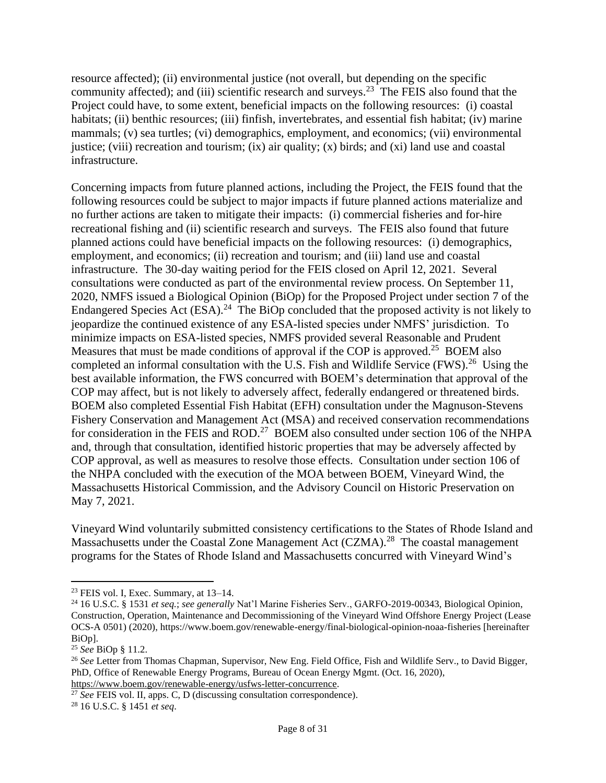resource affected); (ii) environmental justice (not overall, but depending on the specific community affected); and (iii) scientific research and surveys.<sup>23</sup> The FEIS also found that the Project could have, to some extent, beneficial impacts on the following resources: (i) coastal habitats; (ii) benthic resources; (iii) finfish, invertebrates, and essential fish habitat; (iv) marine mammals; (v) sea turtles; (vi) demographics, employment, and economics; (vii) environmental justice; (viii) recreation and tourism; (ix) air quality; (x) birds; and (xi) land use and coastal infrastructure.

Concerning impacts from future planned actions, including the Project, the FEIS found that the following resources could be subject to major impacts if future planned actions materialize and no further actions are taken to mitigate their impacts: (i) commercial fisheries and for-hire recreational fishing and (ii) scientific research and surveys. The FEIS also found that future planned actions could have beneficial impacts on the following resources: (i) demographics, employment, and economics; (ii) recreation and tourism; and (iii) land use and coastal infrastructure. The 30-day waiting period for the FEIS closed on April 12, 2021. Several consultations were conducted as part of the environmental review process. On September 11, 2020, NMFS issued a Biological Opinion (BiOp) for the Proposed Project under section 7 of the Endangered Species Act (ESA).<sup>24</sup> The BiOp concluded that the proposed activity is not likely to jeopardize the continued existence of any ESA-listed species under NMFS' jurisdiction. To minimize impacts on ESA-listed species, NMFS provided several Reasonable and Prudent Measures that must be made conditions of approval if the COP is approved.<sup>25</sup> BOEM also completed an informal consultation with the U.S. Fish and Wildlife Service (FWS).<sup>26</sup> Using the best available information, the FWS concurred with BOEM's determination that approval of the COP may affect, but is not likely to adversely affect, federally endangered or threatened birds. BOEM also completed Essential Fish Habitat (EFH) consultation under the Magnuson-Stevens Fishery Conservation and Management Act (MSA) and received conservation recommendations for consideration in the FEIS and ROD.<sup>27</sup> BOEM also consulted under section 106 of the NHPA and, through that consultation, identified historic properties that may be adversely affected by COP approval, as well as measures to resolve those effects. Consultation under section 106 of the NHPA concluded with the execution of the MOA between BOEM, Vineyard Wind, the Massachusetts Historical Commission, and the Advisory Council on Historic Preservation on May 7, 2021.

Vineyard Wind voluntarily submitted consistency certifications to the States of Rhode Island and Massachusetts under the Coastal Zone Management Act (CZMA).<sup>28</sup> The coastal management programs for the States of Rhode Island and Massachusetts concurred with Vineyard Wind's

 $23$  FEIS vol. I, Exec. Summary, at  $13-14$ .

<sup>24</sup> 16 U.S.C. § 1531 *et seq.*; *see generally* Nat'l Marine Fisheries Serv., GARFO-2019-00343, Biological Opinion, Construction, Operation, Maintenance and Decommissioning of the Vineyard Wind Offshore Energy Project (Lease OCS-A 0501) (2020), https://www.boem.gov/renewable-energy/final-biological-opinion-noaa-fisheries [hereinafter BiOp].

<sup>25</sup> *See* BiOp § 11.2.

<sup>&</sup>lt;sup>26</sup> See Letter from Thomas Chapman, Supervisor, New Eng. Field Office, Fish and Wildlife Serv., to David Bigger, PhD, Office of Renewable Energy Programs, Bureau of Ocean Energy Mgmt. (Oct. 16, 2020),

[https://www.boem.gov/renewable-energy/usfws-letter-concurrence.](https://www.boem.gov/renewable-energy/usfws-letter-concurrence)

<sup>&</sup>lt;sup>27</sup> See FEIS vol. II, apps. C, D (discussing consultation correspondence).

<sup>28</sup> 16 U.S.C. § 1451 *et seq*.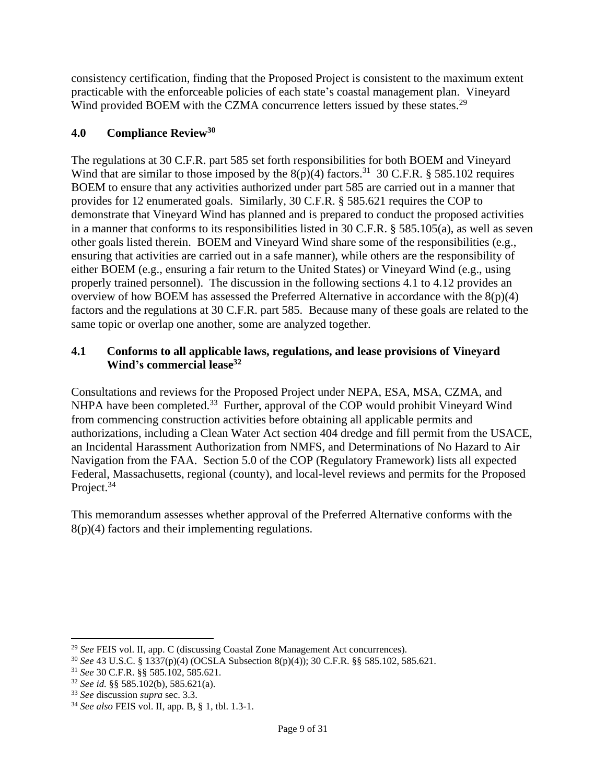consistency certification, finding that the Proposed Project is consistent to the maximum extent practicable with the enforceable policies of each state's coastal management plan. Vineyard Wind provided BOEM with the CZMA concurrence letters issued by these states.<sup>29</sup>

## **4.0 Compliance Review<sup>30</sup>**

The regulations at 30 C.F.R. part 585 set forth responsibilities for both BOEM and Vineyard Wind that are similar to those imposed by the  $8(p)(4)$  factors.<sup>31</sup> 30 C.F.R. § 585.102 requires BOEM to ensure that any activities authorized under part 585 are carried out in a manner that provides for 12 enumerated goals. Similarly, 30 C.F.R. § 585.621 requires the COP to demonstrate that Vineyard Wind has planned and is prepared to conduct the proposed activities in a manner that conforms to its responsibilities listed in 30 C.F.R. § 585.105(a), as well as seven other goals listed therein. BOEM and Vineyard Wind share some of the responsibilities (e.g., ensuring that activities are carried out in a safe manner), while others are the responsibility of either BOEM (e.g., ensuring a fair return to the United States) or Vineyard Wind (e.g., using properly trained personnel). The discussion in the following sections 4.1 to 4.12 provides an overview of how BOEM has assessed the Preferred Alternative in accordance with the  $8(p)(4)$ factors and the regulations at 30 C.F.R. part 585. Because many of these goals are related to the same topic or overlap one another, some are analyzed together.

#### **4.1 Conforms to all applicable laws, regulations, and lease provisions of Vineyard Wind's commercial lease<sup>32</sup>**

Consultations and reviews for the Proposed Project under NEPA, ESA, MSA, CZMA, and NHPA have been completed.<sup>33</sup> Further, approval of the COP would prohibit Vineyard Wind from commencing construction activities before obtaining all applicable permits and authorizations, including a Clean Water Act section 404 dredge and fill permit from the USACE, an Incidental Harassment Authorization from NMFS, and Determinations of No Hazard to Air Navigation from the FAA. Section 5.0 of the COP (Regulatory Framework) lists all expected Federal, Massachusetts, regional (county), and local-level reviews and permits for the Proposed Project.<sup>34</sup>

This memorandum assesses whether approval of the Preferred Alternative conforms with the 8(p)(4) factors and their implementing regulations.

<sup>29</sup> *See* FEIS vol. II, app. C (discussing Coastal Zone Management Act concurrences).

<sup>30</sup> *See* 43 U.S.C. § 1337(p)(4) (OCSLA Subsection 8(p)(4)); 30 C.F.R. §§ 585.102, 585.621.

<sup>31</sup> *See* 30 C.F.R. §§ 585.102, 585.621.

<sup>32</sup> *See id.* §§ 585.102(b), 585.621(a).

<sup>33</sup> *See* discussion *supra* sec. 3.3.

<sup>34</sup> *See also* FEIS vol. II, app. B, § 1, tbl. 1.3-1.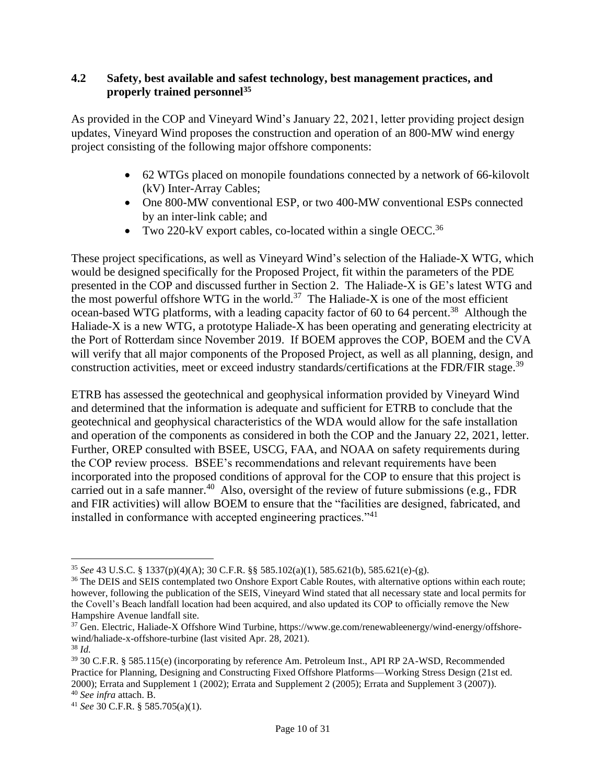#### **4.2 Safety, best available and safest technology, best management practices, and properly trained personnel<sup>35</sup>**

As provided in the COP and Vineyard Wind's January 22, 2021, letter providing project design updates, Vineyard Wind proposes the construction and operation of an 800-MW wind energy project consisting of the following major offshore components:

- 62 WTGs placed on monopile foundations connected by a network of 66-kilovolt (kV) Inter-Array Cables;
- One 800-MW conventional ESP, or two 400-MW conventional ESPs connected by an inter-link cable; and
- Two 220-kV export cables, co-located within a single OECC.<sup>36</sup>

These project specifications, as well as Vineyard Wind's selection of the Haliade-X WTG, which would be designed specifically for the Proposed Project, fit within the parameters of the PDE presented in the COP and discussed further in Section 2. The Haliade-X is GE's latest WTG and the most powerful offshore WTG in the world.<sup>37</sup> The Haliade-X is one of the most efficient ocean-based WTG platforms, with a leading capacity factor of 60 to 64 percent.<sup>38</sup> Although the Haliade-X is a new WTG, a prototype Haliade-X has been operating and generating electricity at the Port of Rotterdam since November 2019. If BOEM approves the COP, BOEM and the CVA will verify that all major components of the Proposed Project, as well as all planning, design, and construction activities, meet or exceed industry standards/certifications at the FDR/FIR stage.<sup>39</sup>

ETRB has assessed the geotechnical and geophysical information provided by Vineyard Wind and determined that the information is adequate and sufficient for ETRB to conclude that the geotechnical and geophysical characteristics of the WDA would allow for the safe installation and operation of the components as considered in both the COP and the January 22, 2021, letter. Further, OREP consulted with BSEE, USCG, FAA, and NOAA on safety requirements during the COP review process. BSEE's recommendations and relevant requirements have been incorporated into the proposed conditions of approval for the COP to ensure that this project is carried out in a safe manner.<sup>40</sup> Also, oversight of the review of future submissions (e.g., FDR and FIR activities) will allow BOEM to ensure that the "facilities are designed, fabricated, and installed in conformance with accepted engineering practices."<sup>41</sup>

<sup>35</sup> *See* 43 U.S.C. § 1337(p)(4)(A); 30 C.F.R. §§ 585.102(a)(1), 585.621(b), 585.621(e)-(g).

<sup>&</sup>lt;sup>36</sup> The DEIS and SEIS contemplated two Onshore Export Cable Routes, with alternative options within each route; however, following the publication of the SEIS, Vineyard Wind stated that all necessary state and local permits for the Covell's Beach landfall location had been acquired, and also updated its COP to officially remove the New Hampshire Avenue landfall site.

<sup>37</sup> Gen. Electric, Haliade-X Offshore Wind Turbine, https://www.ge.com/renewableenergy/wind-energy/offshorewind/haliade-x-offshore-turbine (last visited Apr. 28, 2021).

<sup>38</sup> *Id.*

<sup>39</sup> 30 C.F.R. § 585.115(e) (incorporating by reference Am. Petroleum Inst., API RP 2A-WSD, Recommended Practice for Planning, Designing and Constructing Fixed Offshore Platforms—Working Stress Design (21st ed. 2000); Errata and Supplement 1 (2002); Errata and Supplement 2 (2005); Errata and Supplement 3 (2007)). <sup>40</sup> *See infra* attach. B.

<sup>41</sup> *See* 30 C.F.R. § 585.705(a)(1).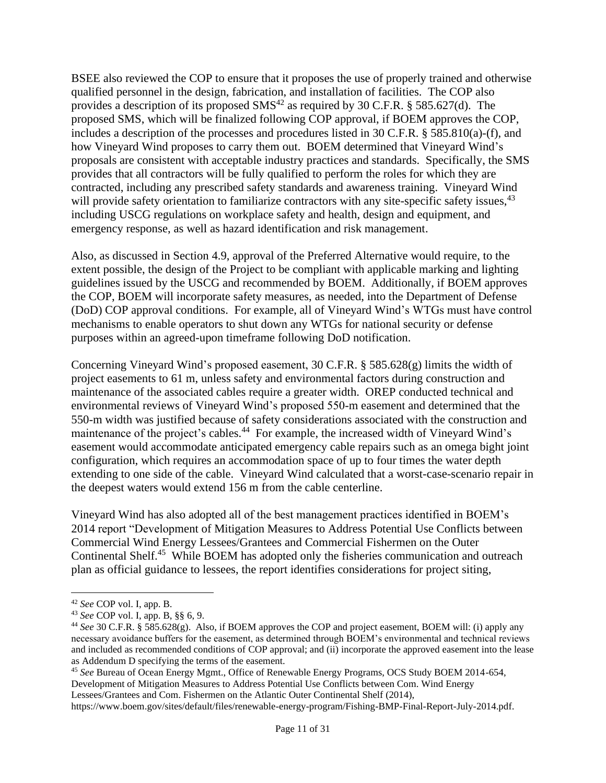BSEE also reviewed the COP to ensure that it proposes the use of properly trained and otherwise qualified personnel in the design, fabrication, and installation of facilities. The COP also provides a description of its proposed  $\text{SMS}^{42}$  as required by 30 C.F.R. § 585.627(d). The proposed SMS, which will be finalized following COP approval, if BOEM approves the COP, includes a description of the processes and procedures listed in 30 C.F.R. § 585.810(a)-(f), and how Vineyard Wind proposes to carry them out. BOEM determined that Vineyard Wind's proposals are consistent with acceptable industry practices and standards. Specifically, the SMS provides that all contractors will be fully qualified to perform the roles for which they are contracted, including any prescribed safety standards and awareness training. Vineyard Wind will provide safety orientation to familiarize contractors with any site-specific safety issues,<sup>43</sup> including USCG regulations on workplace safety and health, design and equipment, and emergency response, as well as hazard identification and risk management.

Also, as discussed in Section 4.9, approval of the Preferred Alternative would require, to the extent possible, the design of the Project to be compliant with applicable marking and lighting guidelines issued by the USCG and recommended by BOEM. Additionally, if BOEM approves the COP, BOEM will incorporate safety measures, as needed, into the Department of Defense (DoD) COP approval conditions. For example, all of Vineyard Wind's WTGs must have control mechanisms to enable operators to shut down any WTGs for national security or defense purposes within an agreed-upon timeframe following DoD notification.

Concerning Vineyard Wind's proposed easement, 30 C.F.R. § 585.628(g) limits the width of project easements to 61 m, unless safety and environmental factors during construction and maintenance of the associated cables require a greater width. OREP conducted technical and environmental reviews of Vineyard Wind's proposed 550-m easement and determined that the 550-m width was justified because of safety considerations associated with the construction and maintenance of the project's cables.<sup>44</sup> For example, the increased width of Vineyard Wind's easement would accommodate anticipated emergency cable repairs such as an omega bight joint configuration, which requires an accommodation space of up to four times the water depth extending to one side of the cable. Vineyard Wind calculated that a worst-case-scenario repair in the deepest waters would extend 156 m from the cable centerline.

Vineyard Wind has also adopted all of the best management practices identified in BOEM's 2014 report "Development of Mitigation Measures to Address Potential Use Conflicts between Commercial Wind Energy Lessees/Grantees and Commercial Fishermen on the Outer Continental Shelf.<sup>45</sup> While BOEM has adopted only the fisheries communication and outreach plan as official guidance to lessees, the report identifies considerations for project siting,

<sup>42</sup> *See* COP vol. I, app. B.

<sup>43</sup> *See* COP vol. I, app. B, §§ 6, 9.

<sup>44</sup> *See* 30 C.F.R. § 585.628(g). Also, if BOEM approves the COP and project easement, BOEM will: (i) apply any necessary avoidance buffers for the easement, as determined through BOEM's environmental and technical reviews and included as recommended conditions of COP approval; and (ii) incorporate the approved easement into the lease as Addendum D specifying the terms of the easement.

<sup>45</sup> *See* Bureau of Ocean Energy Mgmt., Office of Renewable Energy Programs, OCS Study BOEM 2014-654, Development of Mitigation Measures to Address Potential Use Conflicts between Com. Wind Energy Lessees/Grantees and Com. Fishermen on the Atlantic Outer Continental Shelf (2014),

https://www.boem.gov/sites/default/files/renewable-energy-program/Fishing-BMP-Final-Report-July-2014.pdf.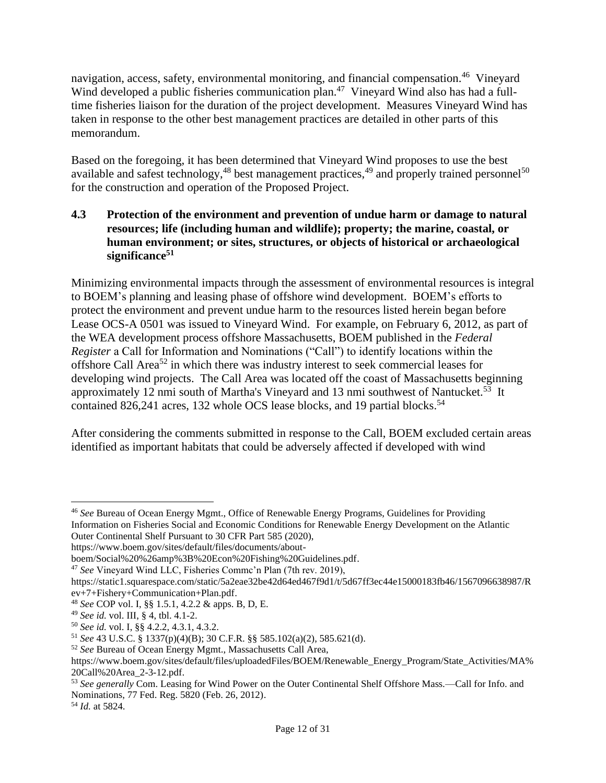navigation, access, safety, environmental monitoring, and financial compensation.<sup>46</sup> Vineyard Wind developed a public fisheries communication plan.<sup>47</sup> Vineyard Wind also has had a fulltime fisheries liaison for the duration of the project development. Measures Vineyard Wind has taken in response to the other best management practices are detailed in other parts of this memorandum.

Based on the foregoing, it has been determined that Vineyard Wind proposes to use the best available and safest technology,<sup>48</sup> best management practices,<sup>49</sup> and properly trained personnel<sup>50</sup> for the construction and operation of the Proposed Project.

### **4.3 Protection of the environment and prevention of undue harm or damage to natural resources; life (including human and wildlife); property; the marine, coastal, or human environment; or sites, structures, or objects of historical or archaeological significance 51**

Minimizing environmental impacts through the assessment of environmental resources is integral to BOEM's planning and leasing phase of offshore wind development. BOEM's efforts to protect the environment and prevent undue harm to the resources listed herein began before Lease OCS-A 0501 was issued to Vineyard Wind. For example, on February 6, 2012, as part of the WEA development process offshore Massachusetts, BOEM published in the *Federal Register* a Call for Information and Nominations ("Call") to identify locations within the offshore Call Area<sup>52</sup> in which there was industry interest to seek commercial leases for developing wind projects. The Call Area was located off the coast of Massachusetts beginning approximately 12 nmi south of Martha's Vineyard and 13 nmi southwest of Nantucket.<sup>53</sup> It contained 826,241 acres, 132 whole OCS lease blocks, and 19 partial blocks.<sup>54</sup>

After considering the comments submitted in response to the Call, BOEM excluded certain areas identified as important habitats that could be adversely affected if developed with wind

<sup>46</sup> *See* Bureau of Ocean Energy Mgmt., Office of Renewable Energy Programs, Guidelines for Providing Information on Fisheries Social and Economic Conditions for Renewable Energy Development on the Atlantic Outer Continental Shelf Pursuant to 30 CFR Part 585 (2020),

https://www.boem.gov/sites/default/files/documents/about-

boem/Social%20%26amp%3B%20Econ%20Fishing%20Guidelines.pdf.

<sup>47</sup> *See* Vineyard Wind LLC, Fisheries Commc'n Plan (7th rev. 2019),

https://static1.squarespace.com/static/5a2eae32be42d64ed467f9d1/t/5d67ff3ec44e15000183fb46/1567096638987/R ev+7+Fishery+Communication+Plan.pdf.

<sup>48</sup> *See* COP vol. I, §§ 1.5.1, 4.2.2 & apps. B, D, E.

<sup>49</sup> *See id.* vol. III, § 4, tbl. 4.1-2.

<sup>50</sup> *See id.* vol. I, §§ 4.2.2, 4.3.1, 4.3.2.

<sup>51</sup> *See* 43 U.S.C. § 1337(p)(4)(B); 30 C.F.R. §§ 585.102(a)(2), 585.621(d).

<sup>52</sup> *See* Bureau of Ocean Energy Mgmt., Massachusetts Call Area,

https://www.boem.gov/sites/default/files/uploadedFiles/BOEM/Renewable\_Energy\_Program/State\_Activities/MA% 20Call%20Area\_2-3-12.pdf.

<sup>53</sup> *See generally* Com. Leasing for Wind Power on the Outer Continental Shelf Offshore Mass.—Call for Info. and Nominations, 77 Fed. Reg. 5820 (Feb. 26, 2012).

<sup>54</sup> *Id.* at 5824.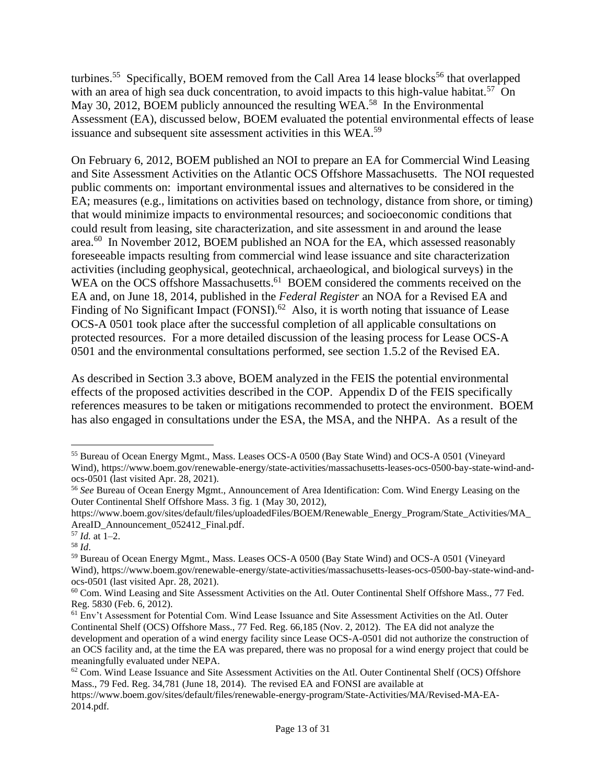turbines.<sup>55</sup> Specifically, BOEM removed from the Call Area 14 lease blocks<sup>56</sup> that overlapped with an area of high sea duck concentration, to avoid impacts to this high-value habitat.<sup>57</sup> On May 30, 2012, BOEM publicly announced the resulting WEA.<sup>58</sup> In the Environmental Assessment (EA), discussed below, BOEM evaluated the potential environmental effects of lease issuance and subsequent site assessment activities in this WEA.<sup>59</sup>

On February 6, 2012, BOEM published an NOI to prepare an EA for Commercial Wind Leasing and Site Assessment Activities on the Atlantic OCS Offshore Massachusetts. The NOI requested public comments on: important environmental issues and alternatives to be considered in the EA; measures (e.g., limitations on activities based on technology, distance from shore, or timing) that would minimize impacts to environmental resources; and socioeconomic conditions that could result from leasing, site characterization, and site assessment in and around the lease area.<sup>60</sup> In November 2012, BOEM published an NOA for the EA, which assessed reasonably foreseeable impacts resulting from commercial wind lease issuance and site characterization activities (including geophysical, geotechnical, archaeological, and biological surveys) in the WEA on the OCS offshore Massachusetts.<sup>61</sup> BOEM considered the comments received on the EA and, on June 18, 2014, published in the *Federal Register* an NOA for a Revised EA and Finding of No Significant Impact  $(FONSI)$ .<sup>62</sup> Also, it is worth noting that issuance of Lease OCS-A 0501 took place after the successful completion of all applicable consultations on protected resources. For a more detailed discussion of the leasing process for Lease OCS-A 0501 and the environmental consultations performed, see section 1.5.2 of the Revised EA.

As described in Section 3.3 above, BOEM analyzed in the FEIS the potential environmental effects of the proposed activities described in the COP. Appendix D of the FEIS specifically references measures to be taken or mitigations recommended to protect the environment. BOEM has also engaged in consultations under the ESA, the MSA, and the NHPA. As a result of the

<sup>55</sup> Bureau of Ocean Energy Mgmt., Mass. Leases OCS-A 0500 (Bay State Wind) and OCS-A 0501 (Vineyard Wind), https://www.boem.gov/renewable-energy/state-activities/massachusetts-leases-ocs-0500-bay-state-wind-andocs-0501 (last visited Apr. 28, 2021).

<sup>56</sup> *See* Bureau of Ocean Energy Mgmt., Announcement of Area Identification: Com. Wind Energy Leasing on the Outer Continental Shelf Offshore Mass. 3 fig. 1 (May 30, 2012),

https://www.boem.gov/sites/default/files/uploadedFiles/BOEM/Renewable\_Energy\_Program/State\_Activities/MA\_ AreaID\_Announcement\_052412\_Final.pdf.

 $157$  *Id.* at 1–2.

<sup>58</sup> *Id*.

<sup>59</sup> Bureau of Ocean Energy Mgmt., Mass. Leases OCS-A 0500 (Bay State Wind) and OCS-A 0501 (Vineyard Wind), https://www.boem.gov/renewable-energy/state-activities/massachusetts-leases-ocs-0500-bay-state-wind-andocs-0501 (last visited Apr. 28, 2021).

<sup>60</sup> Com. Wind Leasing and Site Assessment Activities on the Atl. Outer Continental Shelf Offshore Mass., 77 Fed. Reg. 5830 (Feb. 6, 2012).

<sup>61</sup> Env't Assessment for Potential Com. Wind Lease Issuance and Site Assessment Activities on the Atl. Outer Continental Shelf (OCS) Offshore Mass., 77 Fed. Reg. 66,185 (Nov. 2, 2012). The EA did not analyze the development and operation of a wind energy facility since Lease OCS-A-0501 did not authorize the construction of an OCS facility and, at the time the EA was prepared, there was no proposal for a wind energy project that could be meaningfully evaluated under NEPA.

 $62$  Com. Wind Lease Issuance and Site Assessment Activities on the Atl. Outer Continental Shelf (OCS) Offshore Mass., 79 Fed. Reg. 34,781 (June 18, 2014). The revised EA and FONSI are available at

https://www.boem.gov/sites/default/files/renewable-energy-program/State-Activities/MA/Revised-MA-EA-2014.pdf.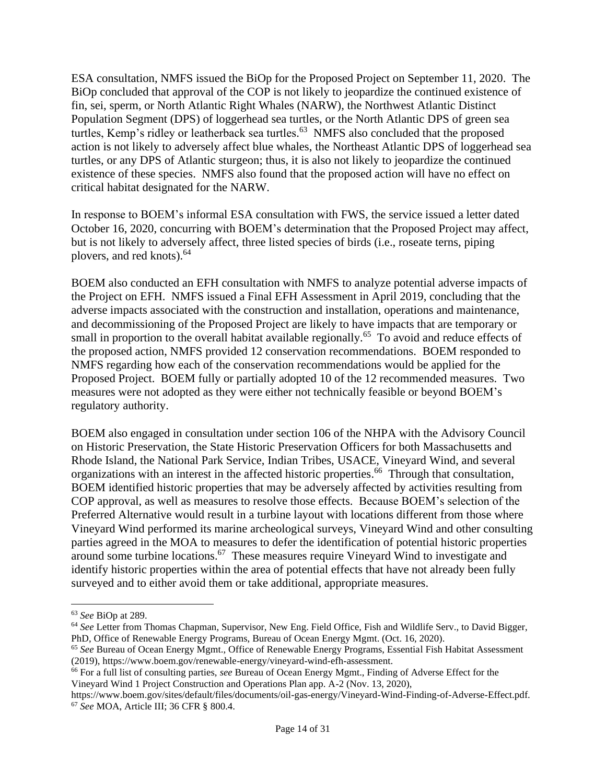ESA consultation, NMFS issued the BiOp for the Proposed Project on September 11, 2020. The BiOp concluded that approval of the COP is not likely to jeopardize the continued existence of fin, sei, sperm, or North Atlantic Right Whales (NARW), the Northwest Atlantic Distinct Population Segment (DPS) of loggerhead sea turtles, or the North Atlantic DPS of green sea turtles, Kemp's ridley or leatherback sea turtles.<sup>63</sup> NMFS also concluded that the proposed action is not likely to adversely affect blue whales, the Northeast Atlantic DPS of loggerhead sea turtles, or any DPS of Atlantic sturgeon; thus, it is also not likely to jeopardize the continued existence of these species. NMFS also found that the proposed action will have no effect on critical habitat designated for the NARW.

In response to BOEM's informal ESA consultation with FWS, the service issued a letter dated October 16, 2020, concurring with BOEM's determination that the Proposed Project may affect, but is not likely to adversely affect, three listed species of birds (i.e., roseate terns, piping plovers, and red knots). 64

BOEM also conducted an EFH consultation with NMFS to analyze potential adverse impacts of the Project on EFH. NMFS issued a Final EFH Assessment in April 2019, concluding that the adverse impacts associated with the construction and installation, operations and maintenance, and decommissioning of the Proposed Project are likely to have impacts that are temporary or small in proportion to the overall habitat available regionally.<sup>65</sup> To avoid and reduce effects of the proposed action, NMFS provided 12 conservation recommendations. BOEM responded to NMFS regarding how each of the conservation recommendations would be applied for the Proposed Project. BOEM fully or partially adopted 10 of the 12 recommended measures. Two measures were not adopted as they were either not technically feasible or beyond BOEM's regulatory authority.

BOEM also engaged in consultation under section 106 of the NHPA with the Advisory Council on Historic Preservation, the State Historic Preservation Officers for both Massachusetts and Rhode Island, the National Park Service, Indian Tribes, USACE, Vineyard Wind, and several organizations with an interest in the affected historic properties. 66 Through that consultation, BOEM identified historic properties that may be adversely affected by activities resulting from COP approval, as well as measures to resolve those effects. Because BOEM's selection of the Preferred Alternative would result in a turbine layout with locations different from those where Vineyard Wind performed its marine archeological surveys, Vineyard Wind and other consulting parties agreed in the MOA to measures to defer the identification of potential historic properties around some turbine locations.<sup>67</sup> These measures require Vineyard Wind to investigate and identify historic properties within the area of potential effects that have not already been fully surveyed and to either avoid them or take additional, appropriate measures.

<sup>63</sup> *See* BiOp at 289.

<sup>64</sup> *See* Letter from Thomas Chapman, Supervisor, New Eng. Field Office, Fish and Wildlife Serv., to David Bigger, PhD, Office of Renewable Energy Programs, Bureau of Ocean Energy Mgmt. (Oct. 16, 2020).

<sup>65</sup> *See* Bureau of Ocean Energy Mgmt., Office of Renewable Energy Programs, Essential Fish Habitat Assessment (2019), https://www.boem.gov/renewable-energy/vineyard-wind-efh-assessment.

<sup>66</sup> For a full list of consulting parties, *see* Bureau of Ocean Energy Mgmt., Finding of Adverse Effect for the Vineyard Wind 1 Project Construction and Operations Plan app. A-2 (Nov. 13, 2020),

https://www.boem.gov/sites/default/files/documents/oil-gas-energy/Vineyard-Wind-Finding-of-Adverse-Effect.pdf. <sup>67</sup> *See* MOA, Article III; 36 CFR § 800.4.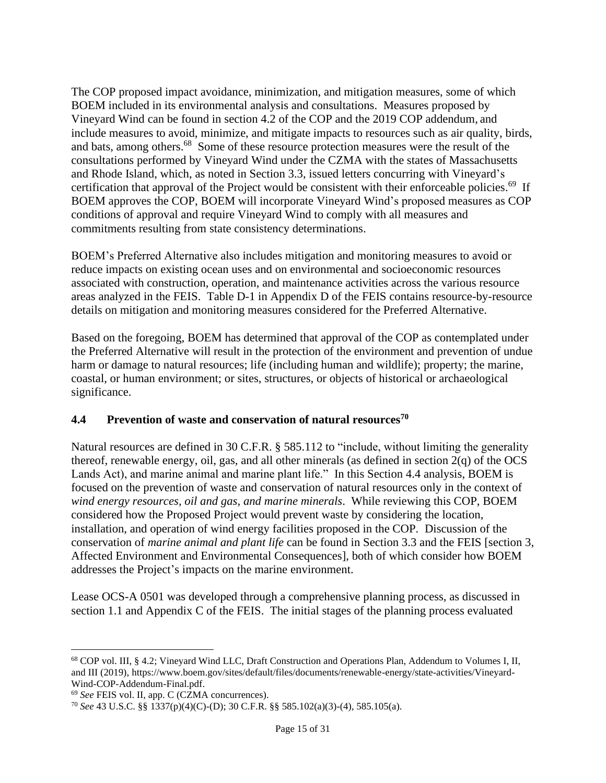The COP proposed impact avoidance, minimization, and mitigation measures, some of which BOEM included in its environmental analysis and consultations. Measures proposed by Vineyard Wind can be found in section 4.2 of the COP and the 2019 COP addendum, and include measures to avoid, minimize, and mitigate impacts to resources such as air quality, birds, and bats, among others.<sup>68</sup> Some of these resource protection measures were the result of the consultations performed by Vineyard Wind under the CZMA with the states of Massachusetts and Rhode Island, which, as noted in Section 3.3, issued letters concurring with Vineyard's certification that approval of the Project would be consistent with their enforceable policies.<sup>69</sup> If BOEM approves the COP, BOEM will incorporate Vineyard Wind's proposed measures as COP conditions of approval and require Vineyard Wind to comply with all measures and commitments resulting from state consistency determinations.

BOEM's Preferred Alternative also includes mitigation and monitoring measures to avoid or reduce impacts on existing ocean uses and on environmental and socioeconomic resources associated with construction, operation, and maintenance activities across the various resource areas analyzed in the FEIS. Table D-1 in Appendix D of the FEIS contains resource-by-resource details on mitigation and monitoring measures considered for the Preferred Alternative.

Based on the foregoing, BOEM has determined that approval of the COP as contemplated under the Preferred Alternative will result in the protection of the environment and prevention of undue harm or damage to natural resources; life (including human and wildlife); property; the marine, coastal, or human environment; or sites, structures, or objects of historical or archaeological significance.

#### **4.4 Prevention of waste and conservation of natural resources<sup>70</sup>**

Natural resources are defined in 30 C.F.R. § 585.112 to "include, without limiting the generality thereof, renewable energy, oil, gas, and all other minerals (as defined in section 2(q) of the OCS Lands Act), and marine animal and marine plant life." In this Section 4.4 analysis, BOEM is focused on the prevention of waste and conservation of natural resources only in the context of *wind energy resources, oil and gas, and marine minerals*. While reviewing this COP, BOEM considered how the Proposed Project would prevent waste by considering the location, installation, and operation of wind energy facilities proposed in the COP. Discussion of the conservation of *marine animal and plant life* can be found in Section 3.3 and the FEIS [section 3, Affected Environment and Environmental Consequences], both of which consider how BOEM addresses the Project's impacts on the marine environment.

Lease OCS-A 0501 was developed through a comprehensive planning process, as discussed in section 1.1 and Appendix C of the FEIS. The initial stages of the planning process evaluated

<sup>68</sup> COP vol. III, § 4.2; Vineyard Wind LLC, Draft Construction and Operations Plan, Addendum to Volumes I, II, and III (2019), https://www.boem.gov/sites/default/files/documents/renewable-energy/state-activities/Vineyard-Wind-COP-Addendum-Final.pdf.

<sup>69</sup> *See* FEIS vol. II, app. C (CZMA concurrences).

<sup>70</sup> *See* 43 U.S.C. §§ 1337(p)(4)(C)-(D); 30 C.F.R. §§ 585.102(a)(3)-(4), 585.105(a).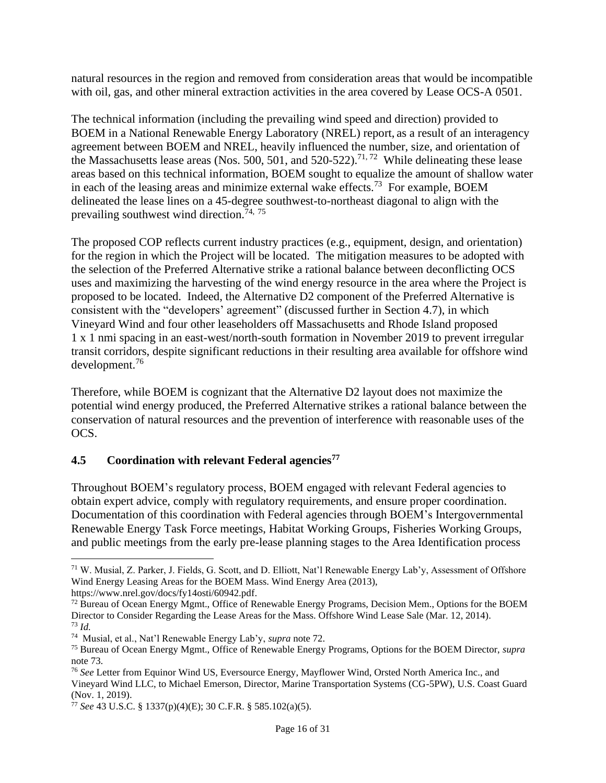natural resources in the region and removed from consideration areas that would be incompatible with oil, gas, and other mineral extraction activities in the area covered by Lease OCS-A 0501.

The technical information (including the prevailing wind speed and direction) provided to BOEM in a National Renewable Energy Laboratory (NREL) report, as a result of an interagency agreement between BOEM and NREL, heavily influenced the number, size, and orientation of the Massachusetts lease areas (Nos. 500, 501, and 520-522).<sup>71,72</sup> While delineating these lease areas based on this technical information, BOEM sought to equalize the amount of shallow water in each of the leasing areas and minimize external wake effects.<sup>73</sup> For example, BOEM delineated the lease lines on a 45-degree southwest-to-northeast diagonal to align with the prevailing southwest wind direction.<sup>74, 75</sup>

The proposed COP reflects current industry practices (e.g., equipment, design, and orientation) for the region in which the Project will be located. The mitigation measures to be adopted with the selection of the Preferred Alternative strike a rational balance between deconflicting OCS uses and maximizing the harvesting of the wind energy resource in the area where the Project is proposed to be located. Indeed, the Alternative D2 component of the Preferred Alternative is consistent with the "developers' agreement" (discussed further in Section 4.7), in which Vineyard Wind and four other leaseholders off Massachusetts and Rhode Island proposed 1 x 1 nmi spacing in an east-west/north-south formation in November 2019 to prevent irregular transit corridors, despite significant reductions in their resulting area available for offshore wind development.<sup>76</sup>

Therefore, while BOEM is cognizant that the Alternative D2 layout does not maximize the potential wind energy produced, the Preferred Alternative strikes a rational balance between the conservation of natural resources and the prevention of interference with reasonable uses of the OCS.

#### **4.5 Coordination with relevant Federal agencies<sup>77</sup>**

Throughout BOEM's regulatory process, BOEM engaged with relevant Federal agencies to obtain expert advice, comply with regulatory requirements, and ensure proper coordination. Documentation of this coordination with Federal agencies through BOEM's Intergovernmental Renewable Energy Task Force meetings, Habitat Working Groups, Fisheries Working Groups, and public meetings from the early pre-lease planning stages to the Area Identification process

https://www.nrel.gov/docs/fy14osti/60942.pdf.

<sup>71</sup> W. Musial, Z. Parker, J. Fields, G. Scott, and D. Elliott, Nat'l Renewable Energy Lab'y, Assessment of Offshore Wind Energy Leasing Areas for the BOEM Mass. Wind Energy Area (2013),

<sup>&</sup>lt;sup>72</sup> Bureau of Ocean Energy Mgmt., Office of Renewable Energy Programs, Decision Mem., Options for the BOEM Director to Consider Regarding the Lease Areas for the Mass. Offshore Wind Lease Sale (Mar. 12, 2014). <sup>73</sup> *Id.*

<sup>74</sup> Musial, et al., Nat'l Renewable Energy Lab'y, *supra* note 72.

<sup>75</sup> Bureau of Ocean Energy Mgmt., Office of Renewable Energy Programs, Options for the BOEM Director, *supra* note 73.

<sup>76</sup> *See* Letter from Equinor Wind US, Eversource Energy, Mayflower Wind, Orsted North America Inc., and Vineyard Wind LLC, to Michael Emerson, Director, Marine Transportation Systems (CG-5PW), U.S. Coast Guard (Nov. 1, 2019).

<sup>77</sup> *See* 43 U.S.C. § 1337(p)(4)(E); 30 C.F.R. § 585.102(a)(5).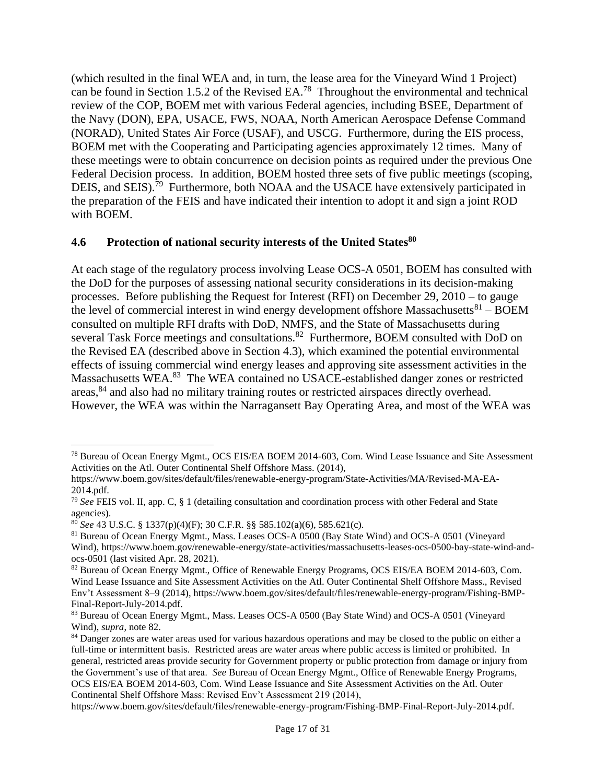(which resulted in the final WEA and, in turn, the lease area for the Vineyard Wind 1 Project) can be found in Section 1.5.2 of the Revised  $EA$ <sup>78</sup> Throughout the environmental and technical review of the COP, BOEM met with various Federal agencies, including BSEE, Department of the Navy (DON), EPA, USACE, FWS, NOAA, North American Aerospace Defense Command (NORAD), United States Air Force (USAF), and USCG. Furthermore, during the EIS process, BOEM met with the Cooperating and Participating agencies approximately 12 times. Many of these meetings were to obtain concurrence on decision points as required under the previous One Federal Decision process. In addition, BOEM hosted three sets of five public meetings (scoping, DEIS, and SEIS).<sup>79</sup> Furthermore, both NOAA and the USACE have extensively participated in the preparation of the FEIS and have indicated their intention to adopt it and sign a joint ROD with BOEM.

#### **4.6 Protection of national security interests of the United States<sup>80</sup>**

At each stage of the regulatory process involving Lease OCS-A 0501, BOEM has consulted with the DoD for the purposes of assessing national security considerations in its decision-making processes. Before publishing the Request for Interest (RFI) on December 29, 2010 – to gauge the level of commercial interest in wind energy development offshore Massachusetts ${}^{81}$  – BOEM consulted on multiple RFI drafts with DoD, NMFS, and the State of Massachusetts during several Task Force meetings and consultations.<sup>82</sup> Furthermore, BOEM consulted with DoD on the Revised EA (described above in Section 4.3), which examined the potential environmental effects of issuing commercial wind energy leases and approving site assessment activities in the Massachusetts WEA.<sup>83</sup> The WEA contained no USACE-established danger zones or restricted areas,<sup>84</sup> and also had no military training routes or restricted airspaces directly overhead. However, the WEA was within the Narragansett Bay Operating Area, and most of the WEA was

<sup>78</sup> Bureau of Ocean Energy Mgmt., OCS EIS/EA BOEM 2014-603, Com. Wind Lease Issuance and Site Assessment Activities on the Atl. Outer Continental Shelf Offshore Mass. (2014),

https://www.boem.gov/sites/default/files/renewable-energy-program/State-Activities/MA/Revised-MA-EA-2014.pdf.

<sup>79</sup> *See* FEIS vol. II, app. C, § 1 (detailing consultation and coordination process with other Federal and State agencies).

<sup>80</sup> *See* 43 U.S.C. § 1337(p)(4)(F); 30 C.F.R. §§ 585.102(a)(6), 585.621(c).

<sup>81</sup> Bureau of Ocean Energy Mgmt., Mass. Leases OCS-A 0500 (Bay State Wind) and OCS-A 0501 (Vineyard Wind), https://www.boem.gov/renewable-energy/state-activities/massachusetts-leases-ocs-0500-bay-state-wind-andocs-0501 (last visited Apr. 28, 2021).

<sup>82</sup> Bureau of Ocean Energy Mgmt., Office of Renewable Energy Programs, OCS EIS/EA BOEM 2014-603, Com. Wind Lease Issuance and Site Assessment Activities on the Atl. Outer Continental Shelf Offshore Mass., Revised Env't Assessment 8–9 (2014), https://www.boem.gov/sites/default/files/renewable-energy-program/Fishing-BMP-Final-Report-July-2014.pdf.

<sup>83</sup> Bureau of Ocean Energy Mgmt., Mass. Leases OCS-A 0500 (Bay State Wind) and OCS-A 0501 (Vineyard Wind), *supra*, note 82.

<sup>&</sup>lt;sup>84</sup> Danger zones are water areas used for various hazardous operations and may be closed to the public on either a full-time or intermittent basis. Restricted areas are water areas where public access is limited or prohibited. In general, restricted areas provide security for Government property or public protection from damage or injury from the Government's use of that area. *See* Bureau of Ocean Energy Mgmt., Office of Renewable Energy Programs, OCS EIS/EA BOEM 2014-603, Com. Wind Lease Issuance and Site Assessment Activities on the Atl. Outer Continental Shelf Offshore Mass: Revised Env't Assessment 219 (2014),

https://www.boem.gov/sites/default/files/renewable-energy-program/Fishing-BMP-Final-Report-July-2014.pdf.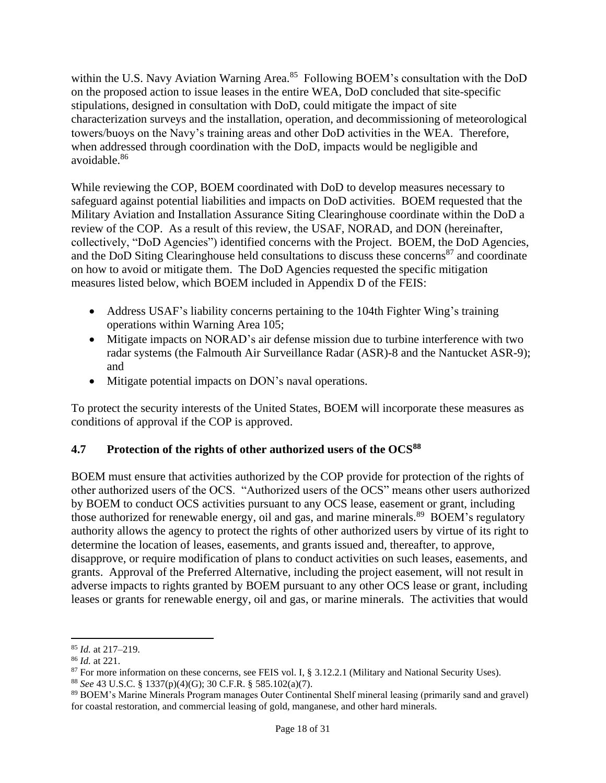within the U.S. Navy Aviation Warning Area.<sup>85</sup> Following BOEM's consultation with the DoD on the proposed action to issue leases in the entire WEA, DoD concluded that site-specific stipulations, designed in consultation with DoD, could mitigate the impact of site characterization surveys and the installation, operation, and decommissioning of meteorological towers/buoys on the Navy's training areas and other DoD activities in the WEA. Therefore, when addressed through coordination with the DoD, impacts would be negligible and avoidable.<sup>86</sup>

While reviewing the COP, BOEM coordinated with DoD to develop measures necessary to safeguard against potential liabilities and impacts on DoD activities. BOEM requested that the Military Aviation and Installation Assurance Siting Clearinghouse coordinate within the DoD a review of the COP. As a result of this review, the USAF, NORAD, and DON (hereinafter, collectively, "DoD Agencies") identified concerns with the Project. BOEM, the DoD Agencies, and the DoD Siting Clearinghouse held consultations to discuss these concerns<sup>87</sup> and coordinate on how to avoid or mitigate them. The DoD Agencies requested the specific mitigation measures listed below, which BOEM included in Appendix D of the FEIS:

- Address USAF's liability concerns pertaining to the 104th Fighter Wing's training operations within Warning Area 105;
- Mitigate impacts on NORAD's air defense mission due to turbine interference with two radar systems (the Falmouth Air Surveillance Radar (ASR)-8 and the Nantucket ASR-9); and
- Mitigate potential impacts on DON's naval operations.

To protect the security interests of the United States, BOEM will incorporate these measures as conditions of approval if the COP is approved.

## **4.7 Protection of the rights of other authorized users of the OCS<sup>88</sup>**

BOEM must ensure that activities authorized by the COP provide for protection of the rights of other authorized users of the OCS. "Authorized users of the OCS" means other users authorized by BOEM to conduct OCS activities pursuant to any OCS lease, easement or grant, including those authorized for renewable energy, oil and gas, and marine minerals.<sup>89</sup> BOEM's regulatory authority allows the agency to protect the rights of other authorized users by virtue of its right to determine the location of leases, easements, and grants issued and, thereafter, to approve, disapprove, or require modification of plans to conduct activities on such leases, easements, and grants. Approval of the Preferred Alternative, including the project easement, will not result in adverse impacts to rights granted by BOEM pursuant to any other OCS lease or grant, including leases or grants for renewable energy, oil and gas, or marine minerals. The activities that would

<sup>85</sup> *Id.* at 217–219.

<sup>86</sup> *Id.* at 221.

<sup>&</sup>lt;sup>87</sup> For more information on these concerns, see FEIS vol. I, § 3.12.2.1 (Military and National Security Uses).

<sup>88</sup> *See* 43 U.S.C. § 1337(p)(4)(G); 30 C.F.R. § 585.102(a)(7).

<sup>89</sup> BOEM's Marine Minerals Program manages Outer Continental Shelf mineral leasing (primarily sand and gravel) for coastal restoration, and commercial leasing of gold, manganese, and other hard minerals.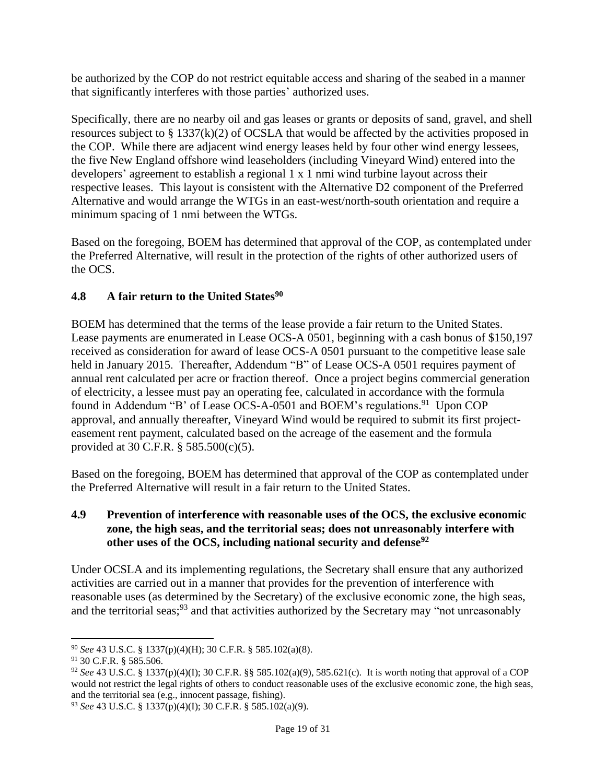be authorized by the COP do not restrict equitable access and sharing of the seabed in a manner that significantly interferes with those parties' authorized uses.

Specifically, there are no nearby oil and gas leases or grants or deposits of sand, gravel, and shell resources subject to § 1337(k)(2) of OCSLA that would be affected by the activities proposed in the COP. While there are adjacent wind energy leases held by four other wind energy lessees, the five New England offshore wind leaseholders (including Vineyard Wind) entered into the developers' agreement to establish a regional 1 x 1 nmi wind turbine layout across their respective leases. This layout is consistent with the Alternative D2 component of the Preferred Alternative and would arrange the WTGs in an east-west/north-south orientation and require a minimum spacing of 1 nmi between the WTGs.

Based on the foregoing, BOEM has determined that approval of the COP, as contemplated under the Preferred Alternative, will result in the protection of the rights of other authorized users of the OCS.

## **4.8 A fair return to the United States<sup>90</sup>**

BOEM has determined that the terms of the lease provide a fair return to the United States. Lease payments are enumerated in Lease OCS-A 0501, beginning with a cash bonus of \$150,197 received as consideration for award of lease OCS-A 0501 pursuant to the competitive lease sale held in January 2015. Thereafter, Addendum "B" of Lease OCS-A 0501 requires payment of annual rent calculated per acre or fraction thereof. Once a project begins commercial generation of electricity, a lessee must pay an operating fee, calculated in accordance with the formula found in Addendum "B' of Lease OCS-A-0501 and BOEM's regulations.<sup>91</sup> Upon COP approval, and annually thereafter, Vineyard Wind would be required to submit its first projecteasement rent payment, calculated based on the acreage of the easement and the formula provided at 30 C.F.R. § 585.500(c)(5).

Based on the foregoing, BOEM has determined that approval of the COP as contemplated under the Preferred Alternative will result in a fair return to the United States.

#### **4.9 Prevention of interference with reasonable uses of the OCS, the exclusive economic zone, the high seas, and the territorial seas; does not unreasonably interfere with other uses of the [OCS,](https://www.law.cornell.edu/definitions/index.php?width=840&height=800&iframe=true&def_id=bd9f767daa3ee547b754312f2df84ea4&term_occur=999&term_src=Title:30:Chapter:V:Subchapter:B:Part:585:Subpart:F:Subjgrp:300:585.621) including national security and defense<sup>92</sup>**

Under OCSLA and its implementing regulations, the Secretary shall ensure that any authorized activities are carried out in a manner that provides for the prevention of interference with reasonable uses (as determined by the Secretary) of the exclusive economic zone, the high seas, and the territorial seas;<sup>93</sup> and that activities authorized by the Secretary may "not unreasonably

<sup>90</sup> *See* 43 U.S.C. § 1337(p)(4)(H); 30 C.F.R. § 585.102(a)(8).

<sup>91 30</sup> C.F.R. § 585.506.

<sup>92</sup> *See* 43 U.S.C. § 1337(p)(4)(I); 30 C.F.R. §§ 585.102(a)(9), 585.621(c).It is worth noting that approval of a COP would not restrict the legal rights of others to conduct reasonable uses of the exclusive economic zone, the high seas, and the territorial sea (e.g., innocent passage, fishing).

<sup>93</sup> *See* 43 U.S.C. § 1337(p)(4)(I); 30 C.F.R. § 585.102(a)(9).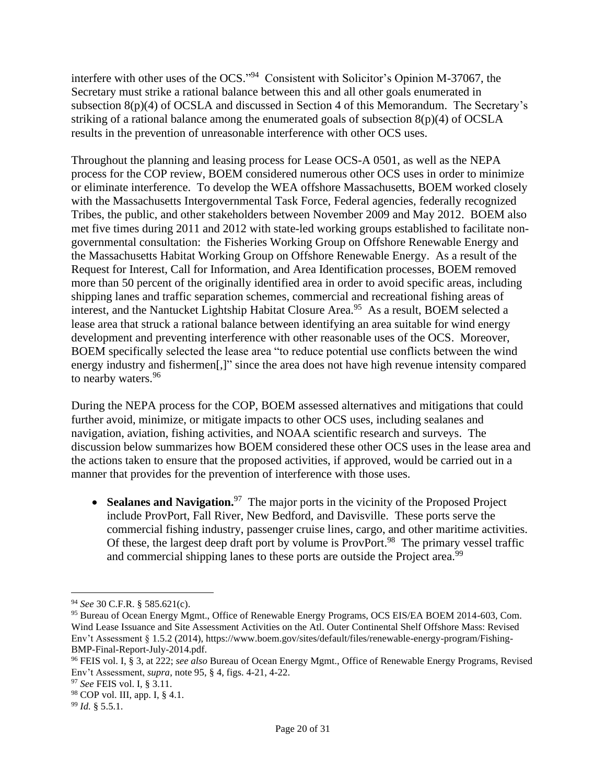interfere with other uses of the OCS."<sup>94</sup> Consistent with Solicitor's Opinion M-37067, the Secretary must strike a rational balance between this and all other goals enumerated in subsection 8(p)(4) of OCSLA and discussed in Section 4 of this Memorandum. The Secretary's striking of a rational balance among the enumerated goals of subsection 8(p)(4) of OCSLA results in the prevention of unreasonable interference with other OCS uses.

Throughout the planning and leasing process for Lease OCS-A 0501, as well as the NEPA process for the COP review, BOEM considered numerous other OCS uses in order to minimize or eliminate interference. To develop the WEA offshore Massachusetts, BOEM worked closely with the Massachusetts Intergovernmental Task Force, Federal agencies, federally recognized Tribes, the public, and other stakeholders between November 2009 and May 2012. BOEM also met five times during 2011 and 2012 with state-led working groups established to facilitate nongovernmental consultation: the Fisheries Working Group on Offshore Renewable Energy and the Massachusetts Habitat Working Group on Offshore Renewable Energy. As a result of the Request for Interest, Call for Information, and Area Identification processes, BOEM removed more than 50 percent of the originally identified area in order to avoid specific areas, including shipping lanes and traffic separation schemes, commercial and recreational fishing areas of interest, and the Nantucket Lightship Habitat Closure Area. 95 As a result, BOEM selected a lease area that struck a rational balance between identifying an area suitable for wind energy development and preventing interference with other reasonable uses of the OCS. Moreover, BOEM specifically selected the lease area "to reduce potential use conflicts between the wind energy industry and fishermen[,]" since the area does not have high revenue intensity compared to nearby waters.<sup>96</sup>

During the NEPA process for the COP, BOEM assessed alternatives and mitigations that could further avoid, minimize, or mitigate impacts to other OCS uses, including sealanes and navigation, aviation, fishing activities, and NOAA scientific research and surveys. The discussion below summarizes how BOEM considered these other OCS uses in the lease area and the actions taken to ensure that the proposed activities, if approved, would be carried out in a manner that provides for the prevention of interference with those uses.

• Sealanes and Navigation.<sup>97</sup> The major ports in the vicinity of the Proposed Project include ProvPort, Fall River, New Bedford, and Davisville. These ports serve the commercial fishing industry, passenger cruise lines, cargo, and other maritime activities. Of these, the largest deep draft port by volume is ProvPort.<sup>98</sup> The primary vessel traffic and commercial shipping lanes to these ports are outside the Project area.<sup>99</sup>

<sup>94</sup> *See* 30 C.F.R. § 585.621(c).

<sup>95</sup> Bureau of Ocean Energy Mgmt., Office of Renewable Energy Programs, OCS EIS/EA BOEM 2014-603, Com. Wind Lease Issuance and Site Assessment Activities on the Atl. Outer Continental Shelf Offshore Mass: Revised Env't Assessment § 1.5.2 (2014), https://www.boem.gov/sites/default/files/renewable-energy-program/Fishing-BMP-Final-Report-July-2014.pdf.

<sup>96</sup> FEIS vol. I, § 3, at 222; *see also* Bureau of Ocean Energy Mgmt., Office of Renewable Energy Programs, Revised Env't Assessment, *supra*, note 95, § 4, figs. 4-21, 4-22.

<sup>97</sup> *See* FEIS vol. I, § 3.11.

<sup>98</sup> COP vol. III, app. I, § 4.1.

<sup>99</sup> *Id.* § 5.5.1.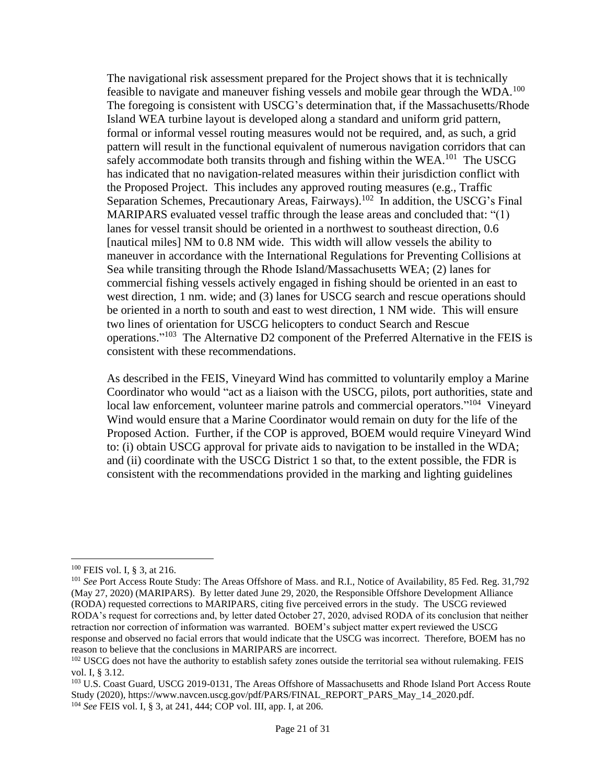The navigational risk assessment prepared for the Project shows that it is technically feasible to navigate and maneuver fishing vessels and mobile gear through the WDA.<sup>100</sup> The foregoing is consistent with USCG's determination that, if the Massachusetts/Rhode Island WEA turbine layout is developed along a standard and uniform grid pattern, formal or informal vessel routing measures would not be required, and, as such, a grid pattern will result in the functional equivalent of numerous navigation corridors that can safely accommodate both transits through and fishing within the WEA.<sup>101</sup> The USCG has indicated that no navigation-related measures within their jurisdiction conflict with the Proposed Project. This includes any approved routing measures (e.g., Traffic Separation Schemes, Precautionary Areas, Fairways).<sup>102</sup> In addition, the USCG's Final MARIPARS evaluated vessel traffic through the lease areas and concluded that: "(1) lanes for vessel transit should be oriented in a northwest to southeast direction, 0.6 [nautical miles] NM to 0.8 NM wide. This width will allow vessels the ability to maneuver in accordance with the International Regulations for Preventing Collisions at Sea while transiting through the Rhode Island/Massachusetts WEA; (2) lanes for commercial fishing vessels actively engaged in fishing should be oriented in an east to west direction, 1 nm. wide; and (3) lanes for USCG search and rescue operations should be oriented in a north to south and east to west direction, 1 NM wide. This will ensure two lines of orientation for USCG helicopters to conduct Search and Rescue operations."<sup>103</sup> The Alternative D2 component of the Preferred Alternative in the FEIS is consistent with these recommendations.

As described in the FEIS, Vineyard Wind has committed to voluntarily employ a Marine Coordinator who would "act as a liaison with the USCG, pilots, port authorities, state and local law enforcement, volunteer marine patrols and commercial operators."<sup>104</sup> Vineyard Wind would ensure that a Marine Coordinator would remain on duty for the life of the Proposed Action. Further, if the COP is approved, BOEM would require Vineyard Wind to: (i) obtain USCG approval for private aids to navigation to be installed in the WDA; and (ii) coordinate with the USCG District 1 so that, to the extent possible, the FDR is consistent with the recommendations provided in the marking and lighting guidelines

<sup>100</sup> FEIS vol. I, § 3, at 216.

<sup>&</sup>lt;sup>101</sup> See Port Access Route Study: The Areas Offshore of Mass. and R.I., Notice of Availability, 85 Fed. Reg. 31,792 (May 27, 2020) (MARIPARS). By letter dated June 29, 2020, the Responsible Offshore Development Alliance (RODA) requested corrections to MARIPARS, citing five perceived errors in the study. The USCG reviewed RODA's request for corrections and, by letter dated October 27, 2020, advised RODA of its conclusion that neither retraction nor correction of information was warranted. BOEM's subject matter expert reviewed the USCG response and observed no facial errors that would indicate that the USCG was incorrect. Therefore, BOEM has no reason to believe that the conclusions in MARIPARS are incorrect.

<sup>&</sup>lt;sup>102</sup> USCG does not have the authority to establish safety zones outside the territorial sea without rulemaking. FEIS vol. I, § 3.12.

<sup>&</sup>lt;sup>103</sup> U.S. Coast Guard, USCG 2019-0131, The Areas Offshore of Massachusetts and Rhode Island Port Access Route Study (2020), https://www.navcen.uscg.gov/pdf/PARS/FINAL\_REPORT\_PARS\_May\_14\_2020.pdf. <sup>104</sup> *See* FEIS vol. I, § 3, at 241, 444; COP vol. III, app. I, at 206.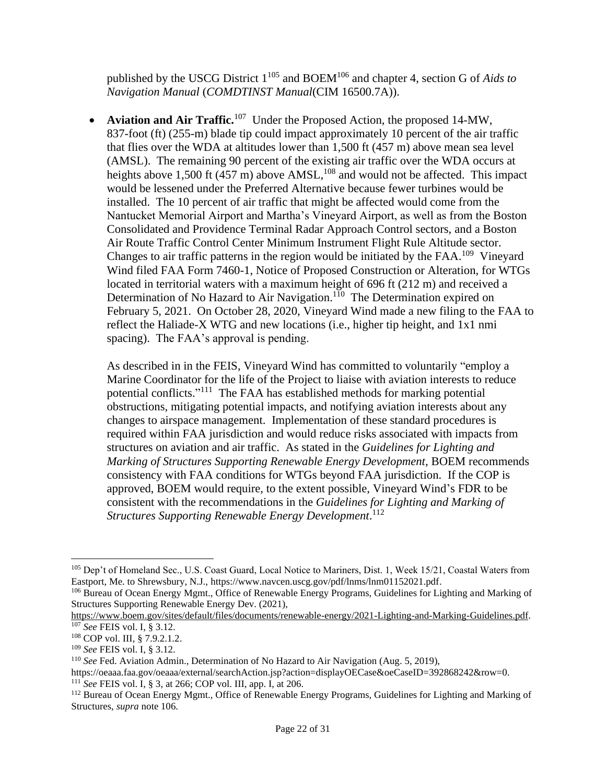published by the USCG District 1<sup>105</sup> and BOEM<sup>106</sup> and chapter 4, section G of *Aids to Navigation Manual* (*COMDTINST Manual*(CIM 16500.7A)).

• **Aviation and Air Traffic.**<sup>107</sup> Under the Proposed Action, the proposed 14-MW, 837-foot (ft) (255-m) blade tip could impact approximately 10 percent of the air traffic that flies over the WDA at altitudes lower than 1,500 ft (457 m) above mean sea level (AMSL). The remaining 90 percent of the existing air traffic over the WDA occurs at heights above 1,500 ft (457 m) above  $AMSL$ ,  $^{108}$  and would not be affected. This impact would be lessened under the Preferred Alternative because fewer turbines would be installed. The 10 percent of air traffic that might be affected would come from the Nantucket Memorial Airport and Martha's Vineyard Airport, as well as from the Boston Consolidated and Providence Terminal Radar Approach Control sectors, and a Boston Air Route Traffic Control Center Minimum Instrument Flight Rule Altitude sector. Changes to air traffic patterns in the region would be initiated by the  $FAA$ .<sup>109</sup> Vineyard Wind filed FAA Form 7460-1, Notice of Proposed Construction or Alteration, for WTGs located in territorial waters with a maximum height of 696 ft (212 m) and received a Determination of No Hazard to Air Navigation.<sup>110</sup> The Determination expired on February 5, 2021. On October 28, 2020, Vineyard Wind made a new filing to the FAA to reflect the Haliade-X WTG and new locations (i.e., higher tip height, and 1x1 nmi spacing). The FAA's approval is pending.

As described in in the FEIS, Vineyard Wind has committed to voluntarily "employ a Marine Coordinator for the life of the Project to liaise with aviation interests to reduce potential conflicts."<sup>111</sup> The FAA has established methods for marking potential obstructions, mitigating potential impacts, and notifying aviation interests about any changes to airspace management. Implementation of these standard procedures is required within FAA jurisdiction and would reduce risks associated with impacts from structures on aviation and air traffic. As stated in the *Guidelines for Lighting and Marking of Structures Supporting Renewable Energy Development,* BOEM recommends consistency with FAA conditions for WTGs beyond FAA jurisdiction. If the COP is approved, BOEM would require, to the extent possible, Vineyard Wind's FDR to be consistent with the recommendations in the *Guidelines for Lighting and Marking of Structures Supporting Renewable Energy Development*. 112

<sup>105</sup> Dep't of Homeland Sec., U.S. Coast Guard, Local Notice to Mariners, Dist. 1, Week 15/21, Coastal Waters from Eastport, Me. to Shrewsbury, N.J., [https://www.navcen.uscg.gov/pdf/lnms/lnm01152021.pdf.](https://www.navcen.uscg.gov/pdf/lnms/lnm01152021.pdf)

<sup>106</sup> Bureau of Ocean Energy Mgmt., Office of Renewable Energy Programs, Guidelines for Lighting and Marking of Structures Supporting Renewable Energy Dev. (2021),

[https://www.boem.gov/sites/default/files/documents/renewable-energy/2021-Lighting-and-Marking-Guidelines.pdf.](https://www.boem.gov/sites/default/files/documents/renewable-energy/2021-Lighting-and-Marking-Guidelines.pdf) <sup>107</sup> *See* FEIS vol. I, § 3.12.

<sup>108</sup> COP vol. III, § 7.9.2.1.2.

<sup>109</sup> *See* FEIS vol. I, § 3.12.

<sup>110</sup> *See* Fed. Aviation Admin., Determination of No Hazard to Air Navigation (Aug. 5, 2019),

https://oeaaa.faa.gov/oeaaa/external/searchAction.jsp?action=displayOECase&oeCaseID=392868242&row=0.

<sup>111</sup> *See* FEIS vol. I, § 3, at 266; COP vol. III, app. I, at 206.

<sup>112</sup> Bureau of Ocean Energy Mgmt., Office of Renewable Energy Programs, Guidelines for Lighting and Marking of Structures, *supra* note 106.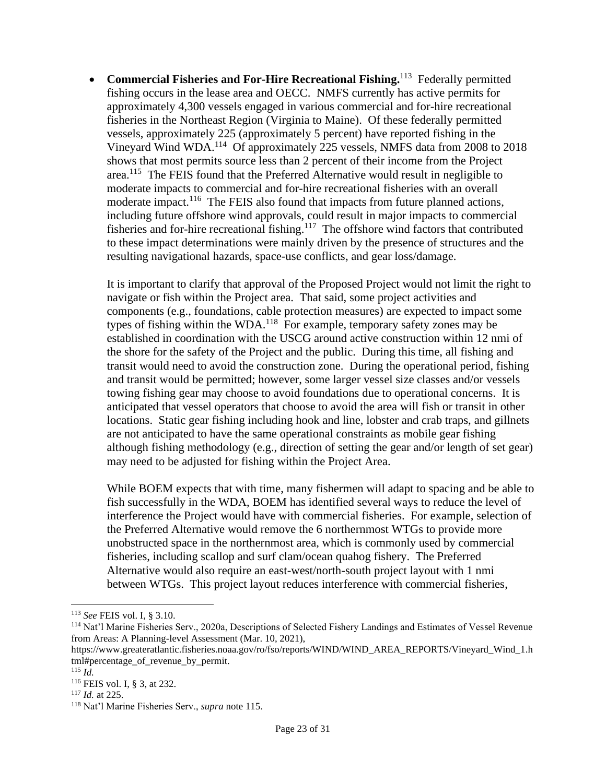**• Commercial Fisheries and For-Hire Recreational Fishing.**<sup>113</sup> Federally permitted fishing occurs in the lease area and OECC. NMFS currently has active permits for approximately 4,300 vessels engaged in various commercial and for-hire recreational fisheries in the Northeast Region (Virginia to Maine). Of these federally permitted vessels, approximately 225 (approximately 5 percent) have reported fishing in the Vineyard Wind WDA.<sup>114</sup> Of approximately 225 vessels, NMFS data from 2008 to 2018 shows that most permits source less than 2 percent of their income from the Project area.<sup>115</sup> The FEIS found that the Preferred Alternative would result in negligible to moderate impacts to commercial and for-hire recreational fisheries with an overall moderate impact.<sup>116</sup> The FEIS also found that impacts from future planned actions, including future offshore wind approvals, could result in major impacts to commercial fisheries and for-hire recreational fishing.<sup>117</sup> The offshore wind factors that contributed to these impact determinations were mainly driven by the presence of structures and the resulting navigational hazards, space-use conflicts, and gear loss/damage.

It is important to clarify that approval of the Proposed Project would not limit the right to navigate or fish within the Project area. That said, some project activities and components (e.g., foundations, cable protection measures) are expected to impact some types of fishing within the WDA.<sup>118</sup> For example, temporary safety zones may be established in coordination with the USCG around active construction within 12 nmi of the shore for the safety of the Project and the public. During this time, all fishing and transit would need to avoid the construction zone. During the operational period, fishing and transit would be permitted; however, some larger vessel size classes and/or vessels towing fishing gear may choose to avoid foundations due to operational concerns. It is anticipated that vessel operators that choose to avoid the area will fish or transit in other locations. Static gear fishing including hook and line, lobster and crab traps, and gillnets are not anticipated to have the same operational constraints as mobile gear fishing although fishing methodology (e.g., direction of setting the gear and/or length of set gear) may need to be adjusted for fishing within the Project Area.

While BOEM expects that with time, many fishermen will adapt to spacing and be able to fish successfully in the WDA, BOEM has identified several ways to reduce the level of interference the Project would have with commercial fisheries. For example, selection of the Preferred Alternative would remove the 6 northernmost WTGs to provide more unobstructed space in the northernmost area, which is commonly used by commercial fisheries, including scallop and surf clam/ocean quahog fishery. The Preferred Alternative would also require an east-west/north-south project layout with 1 nmi between WTGs. This project layout reduces interference with commercial fisheries,

<sup>113</sup> *See* FEIS vol. I, § 3.10.

<sup>114</sup> Nat'l Marine Fisheries Serv., 2020a, Descriptions of Selected Fishery Landings and Estimates of Vessel Revenue from Areas: A Planning-level Assessment (Mar. 10, 2021),

https://www.greateratlantic.fisheries.noaa.gov/ro/fso/reports/WIND/WIND\_AREA\_REPORTS/Vineyard\_Wind\_1.h tml#percentage\_of\_revenue\_by\_permit.

<sup>115</sup> *Id.*

<sup>116</sup> FEIS vol. I, § 3, at 232.

<sup>117</sup> *Id.* at 225.

<sup>118</sup> Nat'l Marine Fisheries Serv., *supra* note 115.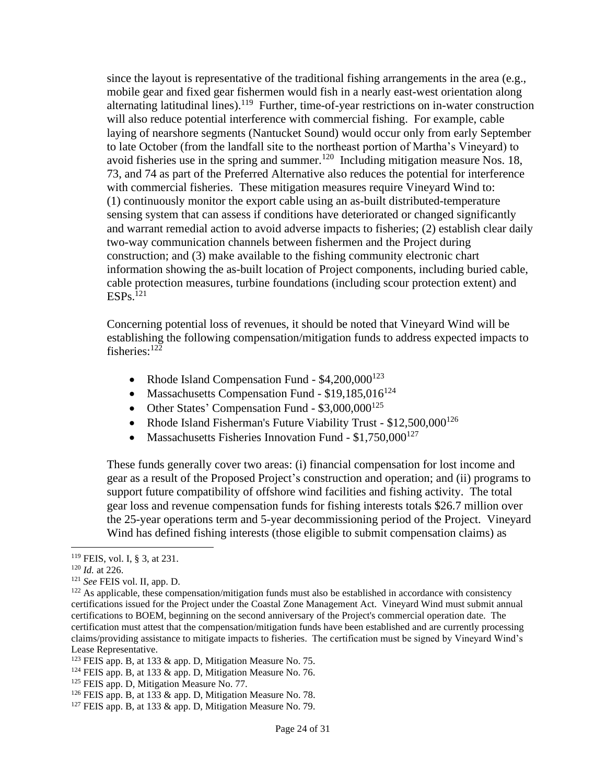since the layout is representative of the traditional fishing arrangements in the area  $(e.g.,)$ mobile gear and fixed gear fishermen would fish in a nearly east-west orientation along alternating latitudinal lines).<sup>119</sup> Further, time-of-year restrictions on in-water construction will also reduce potential interference with commercial fishing. For example, cable laying of nearshore segments (Nantucket Sound) would occur only from early September to late October (from the landfall site to the northeast portion of Martha's Vineyard) to avoid fisheries use in the spring and summer.<sup>120</sup> Including mitigation measure Nos. 18, 73, and 74 as part of the Preferred Alternative also reduces the potential for interference with commercial fisheries. These mitigation measures require Vineyard Wind to: (1) continuously monitor the export cable using an as-built distributed-temperature sensing system that can assess if conditions have deteriorated or changed significantly and warrant remedial action to avoid adverse impacts to fisheries; (2) establish clear daily two-way communication channels between fishermen and the Project during construction; and (3) make available to the fishing community electronic chart information showing the as-built location of Project components, including buried cable, cable protection measures, turbine foundations (including scour protection extent) and  $ESPs$ <sup>121</sup>

Concerning potential loss of revenues, it should be noted that Vineyard Wind will be establishing the following compensation/mitigation funds to address expected impacts to fisheries:<sup>122</sup>

- Rhode Island Compensation Fund  $$4,200,000^{123}$
- Massachusetts Compensation Fund  $$19,185,016^{124}$
- Other States' Compensation Fund  $$3,000,000^{125}$
- Rhode Island Fisherman's Future Viability Trust \$12,500,000<sup>126</sup>
- Massachusetts Fisheries Innovation Fund  $$1,750,000^{127}$

These funds generally cover two areas: (i) financial compensation for lost income and gear as a result of the Proposed Project's construction and operation; and (ii) programs to support future compatibility of offshore wind facilities and fishing activity. The total gear loss and revenue compensation funds for fishing interests totals \$26.7 million over the 25-year operations term and 5-year decommissioning period of the Project. Vineyard Wind has defined fishing interests (those eligible to submit compensation claims) as

<sup>119</sup> FEIS, vol. I, § 3, at 231.

<sup>120</sup> *Id.* at 226.

<sup>121</sup> *See* FEIS vol. II, app. D.

<sup>&</sup>lt;sup>122</sup> As applicable, these compensation/mitigation funds must also be established in accordance with consistency certifications issued for the Project under the Coastal Zone Management Act. Vineyard Wind must submit annual certifications to BOEM, beginning on the second anniversary of the Project's commercial operation date. The certification must attest that the compensation/mitigation funds have been established and are currently processing claims/providing assistance to mitigate impacts to fisheries. The certification must be signed by Vineyard Wind's Lease Representative.

<sup>&</sup>lt;sup>123</sup> FEIS app. B, at 133 & app. D, Mitigation Measure No. 75.

 $124$  FEIS app. B, at 133 & app. D, Mitigation Measure No. 76.

<sup>&</sup>lt;sup>125</sup> FEIS app. D, Mitigation Measure No. 77.

 $126$  FEIS app. B, at 133 & app. D, Mitigation Measure No. 78.

 $127$  FEIS app. B, at 133 & app. D, Mitigation Measure No. 79.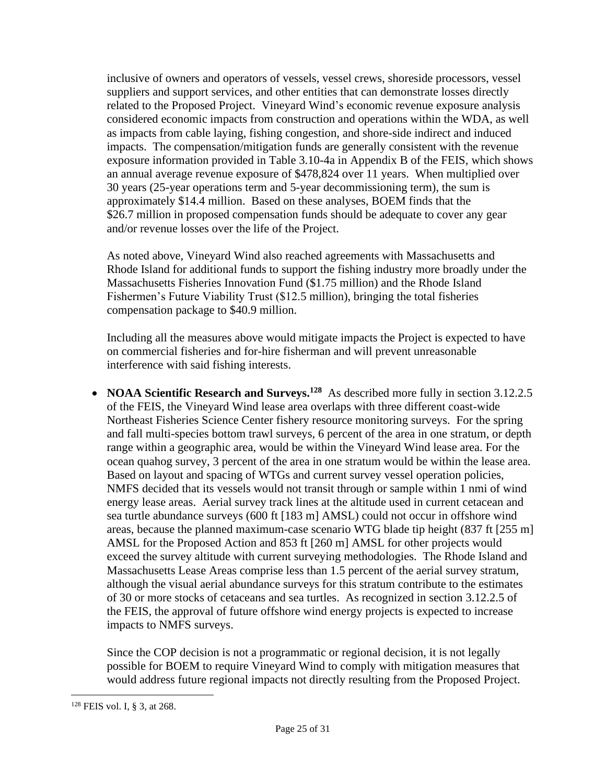inclusive of owners and operators of vessels, vessel crews, shoreside processors, vessel suppliers and support services, and other entities that can demonstrate losses directly related to the Proposed Project. Vineyard Wind's economic revenue exposure analysis considered economic impacts from construction and operations within the WDA, as well as impacts from cable laying, fishing congestion, and shore-side indirect and induced impacts. The compensation/mitigation funds are generally consistent with the revenue exposure information provided in Table 3.10-4a in Appendix B of the FEIS, which shows an annual average revenue exposure of \$478,824 over 11 years. When multiplied over 30 years (25-year operations term and 5-year decommissioning term), the sum is approximately \$14.4 million. Based on these analyses, BOEM finds that the \$26.7 million in proposed compensation funds should be adequate to cover any gear and/or revenue losses over the life of the Project.

As noted above, Vineyard Wind also reached agreements with Massachusetts and Rhode Island for additional funds to support the fishing industry more broadly under the Massachusetts Fisheries Innovation Fund (\$1.75 million) and the Rhode Island Fishermen's Future Viability Trust (\$12.5 million), bringing the total fisheries compensation package to \$40.9 million.

Including all the measures above would mitigate impacts the Project is expected to have on commercial fisheries and for-hire fisherman and will prevent unreasonable interference with said fishing interests.

• **NOAA Scientific Research and Surveys.<sup>128</sup>** As described more fully in section 3.12.2.5 of the FEIS, the Vineyard Wind lease area overlaps with three different coast-wide Northeast Fisheries Science Center fishery resource monitoring surveys. For the spring and fall multi-species bottom trawl surveys, 6 percent of the area in one stratum, or depth range within a geographic area, would be within the Vineyard Wind lease area. For the ocean quahog survey, 3 percent of the area in one stratum would be within the lease area. Based on layout and spacing of WTGs and current survey vessel operation policies, NMFS decided that its vessels would not transit through or sample within 1 nmi of wind energy lease areas. Aerial survey track lines at the altitude used in current cetacean and sea turtle abundance surveys (600 ft [183 m] AMSL) could not occur in offshore wind areas, because the planned maximum-case scenario WTG blade tip height (837 ft [255 m] AMSL for the Proposed Action and 853 ft [260 m] AMSL for other projects would exceed the survey altitude with current surveying methodologies. The Rhode Island and Massachusetts Lease Areas comprise less than 1.5 percent of the aerial survey stratum, although the visual aerial abundance surveys for this stratum contribute to the estimates of 30 or more stocks of cetaceans and sea turtles. As recognized in section 3.12.2.5 of the FEIS, the approval of future offshore wind energy projects is expected to increase impacts to NMFS surveys.

Since the COP decision is not a programmatic or regional decision, it is not legally possible for BOEM to require Vineyard Wind to comply with mitigation measures that would address future regional impacts not directly resulting from the Proposed Project.

<sup>128</sup> FEIS vol. I, § 3, at 268.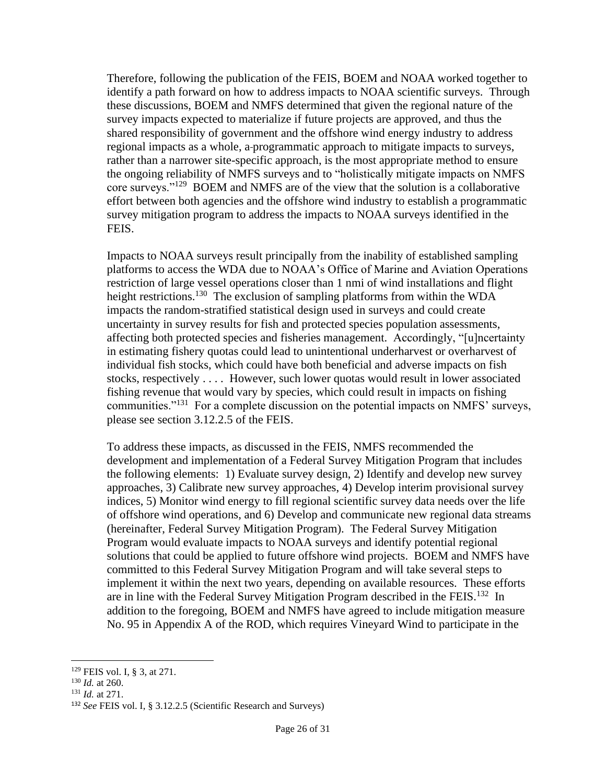Therefore, following the publication of the FEIS, BOEM and NOAA worked together to identify a path forward on how to address impacts to NOAA scientific surveys. Through these discussions, BOEM and NMFS determined that given the regional nature of the survey impacts expected to materialize if future projects are approved, and thus the shared responsibility of government and the offshore wind energy industry to address regional impacts as a whole, a-programmatic approach to mitigate impacts to surveys, rather than a narrower site-specific approach, is the most appropriate method to ensure the ongoing reliability of NMFS surveys and to "holistically mitigate impacts on NMFS core surveys."<sup>129</sup> BOEM and NMFS are of the view that the solution is a collaborative effort between both agencies and the offshore wind industry to establish a programmatic survey mitigation program to address the impacts to NOAA surveys identified in the FEIS.

Impacts to NOAA surveys result principally from the inability of established sampling platforms to access the WDA due to NOAA's Office of Marine and Aviation Operations restriction of large vessel operations closer than 1 nmi of wind installations and flight height restrictions.<sup>130</sup> The exclusion of sampling platforms from within the WDA impacts the random-stratified statistical design used in surveys and could create uncertainty in survey results for fish and protected species population assessments, affecting both protected species and fisheries management. Accordingly, "[u]ncertainty in estimating fishery quotas could lead to unintentional underharvest or overharvest of individual fish stocks, which could have both beneficial and adverse impacts on fish stocks, respectively . . . . However, such lower quotas would result in lower associated fishing revenue that would vary by species, which could result in impacts on fishing communities."<sup>131</sup> For a complete discussion on the potential impacts on NMFS' surveys, please see section 3.12.2.5 of the FEIS.

To address these impacts, as discussed in the FEIS, NMFS recommended the development and implementation of a Federal Survey Mitigation Program that includes the following elements: 1) Evaluate survey design, 2) Identify and develop new survey approaches, 3) Calibrate new survey approaches, 4) Develop interim provisional survey indices, 5) Monitor wind energy to fill regional scientific survey data needs over the life of offshore wind operations, and 6) Develop and communicate new regional data streams (hereinafter, Federal Survey Mitigation Program). The Federal Survey Mitigation Program would evaluate impacts to NOAA surveys and identify potential regional solutions that could be applied to future offshore wind projects. BOEM and NMFS have committed to this Federal Survey Mitigation Program and will take several steps to implement it within the next two years, depending on available resources. These efforts are in line with the Federal Survey Mitigation Program described in the FEIS.<sup>132</sup> In addition to the foregoing, BOEM and NMFS have agreed to include mitigation measure No. 95 in Appendix A of the ROD, which requires Vineyard Wind to participate in the

<sup>129</sup> FEIS vol. I, § 3, at 271.

<sup>130</sup> *Id.* at 260.

<sup>131</sup> *Id.* at 271.

<sup>132</sup> *See* FEIS vol. I, § 3.12.2.5 (Scientific Research and Surveys)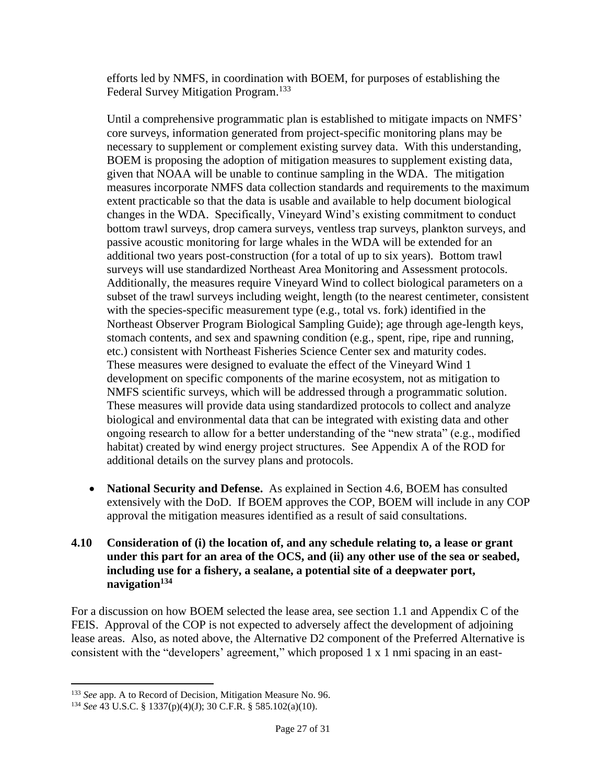efforts led by NMFS, in coordination with BOEM, for purposes of establishing the Federal Survey Mitigation Program.<sup>133</sup>

Until a comprehensive programmatic plan is established to mitigate impacts on NMFS' core surveys, information generated from project-specific monitoring plans may be necessary to supplement or complement existing survey data. With this understanding, BOEM is proposing the adoption of mitigation measures to supplement existing data, given that NOAA will be unable to continue sampling in the WDA. The mitigation measures incorporate NMFS data collection standards and requirements to the maximum extent practicable so that the data is usable and available to help document biological changes in the WDA. Specifically, Vineyard Wind's existing commitment to conduct bottom trawl surveys, drop camera surveys, ventless trap surveys, plankton surveys, and passive acoustic monitoring for large whales in the WDA will be extended for an additional two years post-construction (for a total of up to six years). Bottom trawl surveys will use standardized Northeast Area Monitoring and Assessment protocols. Additionally, the measures require Vineyard Wind to collect biological parameters on a subset of the trawl surveys including weight, length (to the nearest centimeter, consistent with the species-specific measurement type (e.g., total vs. fork) identified in the Northeast Observer Program Biological Sampling Guide); age through age-length keys, stomach contents, and sex and spawning condition (e.g., spent, ripe, ripe and running, etc.) consistent with Northeast Fisheries Science Center sex and maturity codes. These measures were designed to evaluate the effect of the Vineyard Wind 1 development on specific components of the marine ecosystem, not as mitigation to NMFS scientific surveys, which will be addressed through a programmatic solution. These measures will provide data using standardized protocols to collect and analyze biological and environmental data that can be integrated with existing data and other ongoing research to allow for a better understanding of the "new strata" (e.g., modified habitat) created by wind energy project structures. See Appendix A of the ROD for additional details on the survey plans and protocols.

• **National Security and Defense.** As explained in Section 4.6, BOEM has consulted extensively with the DoD. If BOEM approves the COP, BOEM will include in any COP approval the mitigation measures identified as a result of said consultations.

#### **4.10 Consideration of (i) the location of, and any schedule relating to, a lease or grant under this part for an area of the OCS, and (ii) any other use of the sea or seabed, including use for a fishery, a sealane, a potential site of a deepwater port, navigation<sup>134</sup>**

For a discussion on how BOEM selected the lease area, see section 1.1 and Appendix C of the FEIS. Approval of the COP is not expected to adversely affect the development of adjoining lease areas. Also, as noted above, the Alternative D2 component of the Preferred Alternative is consistent with the "developers' agreement," which proposed 1 x 1 nmi spacing in an east-

<sup>&</sup>lt;sup>133</sup> *See* app. A to Record of Decision, Mitigation Measure No. 96.

<sup>134</sup> *See* 43 U.S.C. § 1337(p)(4)(J); 30 C.F.R. § 585.102(a)(10).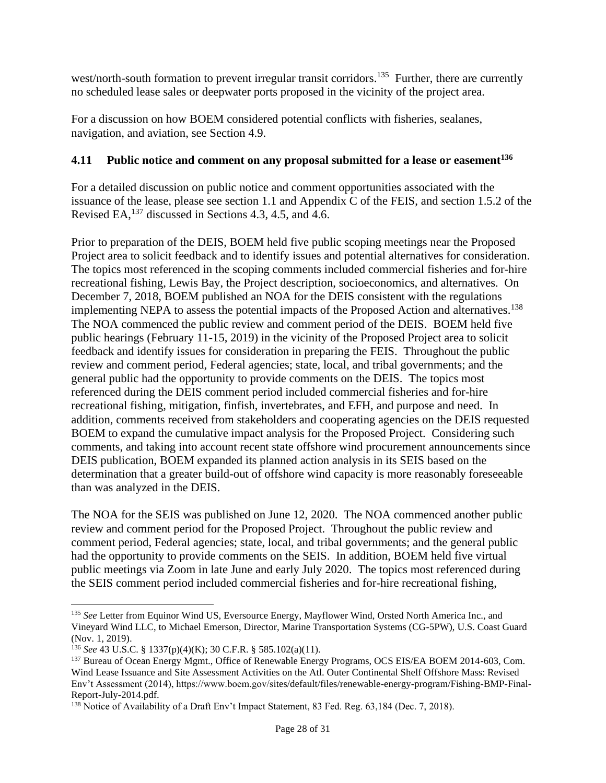west/north-south formation to prevent irregular transit corridors.<sup>135</sup> Further, there are currently no scheduled lease sales or deepwater ports proposed in the vicinity of the project area.

For a discussion on how BOEM considered potential conflicts with fisheries, sealanes, navigation, and aviation, see Section 4.9.

## **4.11 Public notice and comment on any proposal submitted for a lease or easement<sup>136</sup>**

For a detailed discussion on public notice and comment opportunities associated with the issuance of the lease, please see section 1.1 and Appendix C of the FEIS, and section 1.5.2 of the Revised EA,  $^{137}$  discussed in Sections 4.3, 4.5, and 4.6.

Prior to preparation of the DEIS, BOEM held five public scoping meetings near the Proposed Project area to solicit feedback and to identify issues and potential alternatives for consideration. The topics most referenced in the scoping comments included commercial fisheries and for-hire recreational fishing, Lewis Bay, the Project description, socioeconomics, and alternatives. On December 7, 2018, BOEM published an NOA for the DEIS consistent with the regulations implementing NEPA to assess the potential impacts of the Proposed Action and alternatives.<sup>138</sup> The NOA commenced the public review and comment period of the DEIS. BOEM held five public hearings (February 11-15, 2019) in the vicinity of the Proposed Project area to solicit feedback and identify issues for consideration in preparing the FEIS. Throughout the public review and comment period, Federal agencies; state, local, and tribal governments; and the general public had the opportunity to provide comments on the DEIS. The topics most referenced during the DEIS comment period included commercial fisheries and for-hire recreational fishing, mitigation, finfish, invertebrates, and EFH, and purpose and need. In addition, comments received from stakeholders and cooperating agencies on the DEIS requested BOEM to expand the cumulative impact analysis for the Proposed Project. Considering such comments, and taking into account recent state offshore wind procurement announcements since DEIS publication, BOEM expanded its planned action analysis in its SEIS based on the determination that a greater build-out of offshore wind capacity is more reasonably foreseeable than was analyzed in the DEIS.

The NOA for the SEIS was published on June 12, 2020. The NOA commenced another public review and comment period for the Proposed Project. Throughout the public review and comment period, Federal agencies; state, local, and tribal governments; and the general public had the opportunity to provide comments on the SEIS. In addition, BOEM held five virtual public meetings via Zoom in late June and early July 2020. The topics most referenced during the SEIS comment period included commercial fisheries and for-hire recreational fishing,

<sup>&</sup>lt;sup>135</sup> See Letter from Equinor Wind US, Eversource Energy, Mayflower Wind, Orsted North America Inc., and Vineyard Wind LLC, to Michael Emerson, Director, Marine Transportation Systems (CG-5PW), U.S. Coast Guard (Nov. 1, 2019).

<sup>136</sup> *See* 43 U.S.C. § 1337(p)(4)(K); 30 C.F.R. § 585.102(a)(11).

<sup>&</sup>lt;sup>137</sup> Bureau of Ocean Energy Mgmt., Office of Renewable Energy Programs, OCS EIS/EA BOEM 2014-603, Com. Wind Lease Issuance and Site Assessment Activities on the Atl. Outer Continental Shelf Offshore Mass: Revised Env't Assessment (2014), https://www.boem.gov/sites/default/files/renewable-energy-program/Fishing-BMP-Final-Report-July-2014.pdf.

<sup>&</sup>lt;sup>138</sup> Notice of Availability of a Draft Env't Impact Statement, 83 Fed. Reg. 63,184 (Dec. 7, 2018).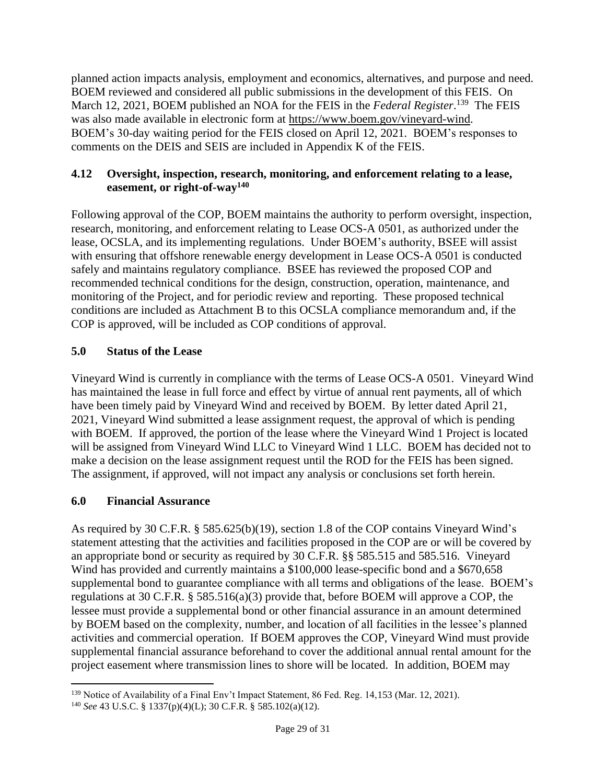planned action impacts analysis, employment and economics, alternatives, and purpose and need. BOEM reviewed and considered all public submissions in the development of this FEIS. On March 12, 2021, BOEM published an NOA for the FEIS in the *Federal Register*.<sup>139</sup> The FEIS was also made available in electronic form at [https://www.boem.gov/vineyard-wind.](https://www.boem.gov/vineyard-wind) BOEM's 30-day waiting period for the FEIS closed on April 12, 2021. BOEM's responses to comments on the DEIS and SEIS are included in Appendix K of the FEIS.

### **4.12 Oversight, inspection, research, monitoring, and enforcement relating to a lease, easement, or right-of-way<sup>140</sup>**

Following approval of the COP, BOEM maintains the authority to perform oversight, inspection, research, monitoring, and enforcement relating to Lease OCS-A 0501, as authorized under the lease, OCSLA, and its implementing regulations. Under BOEM's authority, BSEE will assist with ensuring that offshore renewable energy development in Lease OCS-A 0501 is conducted safely and maintains regulatory compliance. BSEE has reviewed the proposed COP and recommended technical conditions for the design, construction, operation, maintenance, and monitoring of the Project, and for periodic review and reporting. These proposed technical conditions are included as Attachment B to this OCSLA compliance memorandum and, if the COP is approved, will be included as COP conditions of approval.

## **5.0 Status of the Lease**

Vineyard Wind is currently in compliance with the terms of Lease OCS-A 0501. Vineyard Wind has maintained the lease in full force and effect by virtue of annual rent payments, all of which have been timely paid by Vineyard Wind and received by BOEM. By letter dated April 21, 2021, Vineyard Wind submitted a lease assignment request, the approval of which is pending with BOEM. If approved, the portion of the lease where the Vineyard Wind 1 Project is located will be assigned from Vineyard Wind LLC to Vineyard Wind 1 LLC. BOEM has decided not to make a decision on the lease assignment request until the ROD for the FEIS has been signed. The assignment, if approved, will not impact any analysis or conclusions set forth herein.

## **6.0 Financial Assurance**

As required by 30 C.F.R. § 585.625(b)(19), section 1.8 of the COP contains Vineyard Wind's statement attesting that the activities and facilities proposed in the COP are or will be covered by an appropriate bond or security as required by 30 C.F.R. §§ 585.515 and 585.516. Vineyard Wind has provided and currently maintains a \$100,000 lease-specific bond and a \$670,658 supplemental bond to guarantee compliance with all terms and obligations of the lease. BOEM's regulations at 30 C.F.R. § 585.516(a)(3) provide that, before BOEM will approve a COP, the lessee must provide a supplemental bond or other financial assurance in an amount determined by BOEM based on the complexity, number, and location of all facilities in the lessee's planned activities and commercial operation. If BOEM approves the COP, Vineyard Wind must provide supplemental financial assurance beforehand to cover the additional annual rental amount for the project easement where transmission lines to shore will be located. In addition, BOEM may

<sup>&</sup>lt;sup>139</sup> Notice of Availability of a Final Env't Impact Statement, 86 Fed. Reg. 14,153 (Mar. 12, 2021).

<sup>140</sup> *See* 43 U.S.C. § 1337(p)(4)(L); 30 C.F.R. § 585.102(a)(12).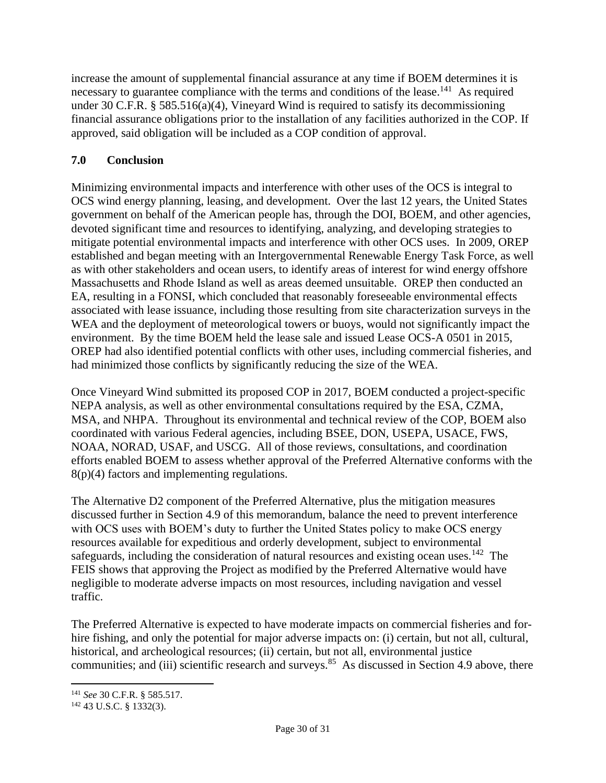increase the amount of supplemental financial assurance at any time if BOEM determines it is necessary to guarantee compliance with the terms and conditions of the lease.<sup>141</sup> As required under 30 C.F.R. § 585.516(a)(4), Vineyard Wind is required to satisfy its decommissioning financial assurance obligations prior to the installation of any facilities authorized in the COP. If approved, said obligation will be included as a COP condition of approval.

## **7.0 Conclusion**

Minimizing environmental impacts and interference with other uses of the OCS is integral to OCS wind energy planning, leasing, and development. Over the last 12 years, the United States government on behalf of the American people has, through the DOI, BOEM, and other agencies, devoted significant time and resources to identifying, analyzing, and developing strategies to mitigate potential environmental impacts and interference with other OCS uses. In 2009, OREP established and began meeting with an Intergovernmental Renewable Energy Task Force, as well as with other stakeholders and ocean users, to identify areas of interest for wind energy offshore Massachusetts and Rhode Island as well as areas deemed unsuitable. OREP then conducted an EA, resulting in a FONSI, which concluded that reasonably foreseeable environmental effects associated with lease issuance, including those resulting from site characterization surveys in the WEA and the deployment of meteorological towers or buoys, would not significantly impact the environment. By the time BOEM held the lease sale and issued Lease OCS-A 0501 in 2015, OREP had also identified potential conflicts with other uses, including commercial fisheries, and had minimized those conflicts by significantly reducing the size of the WEA.

Once Vineyard Wind submitted its proposed COP in 2017, BOEM conducted a project-specific NEPA analysis, as well as other environmental consultations required by the ESA, CZMA, MSA, and NHPA. Throughout its environmental and technical review of the COP, BOEM also coordinated with various Federal agencies, including BSEE, DON, USEPA, USACE, FWS, NOAA, NORAD, USAF, and USCG. All of those reviews, consultations, and coordination efforts enabled BOEM to assess whether approval of the Preferred Alternative conforms with the 8(p)(4) factors and implementing regulations.

The Alternative D2 component of the Preferred Alternative, plus the mitigation measures discussed further in Section 4.9 of this memorandum, balance the need to prevent interference with OCS uses with BOEM's duty to further the United States policy to make OCS energy resources available for expeditious and orderly development, subject to environmental safeguards, including the consideration of natural resources and existing ocean uses.<sup>142</sup> The FEIS shows that approving the Project as modified by the Preferred Alternative would have negligible to moderate adverse impacts on most resources, including navigation and vessel traffic.

The Preferred Alternative is expected to have moderate impacts on commercial fisheries and forhire fishing, and only the potential for major adverse impacts on: (i) certain, but not all, cultural, historical, and archeological resources; (ii) certain, but not all, environmental justice communities; and (iii) scientific research and surveys.<sup>85</sup> As discussed in Section 4.9 above, there

<sup>141</sup> *See* 30 C.F.R. § 585.517.

<sup>142</sup> 43 U.S.C. § 1332(3).